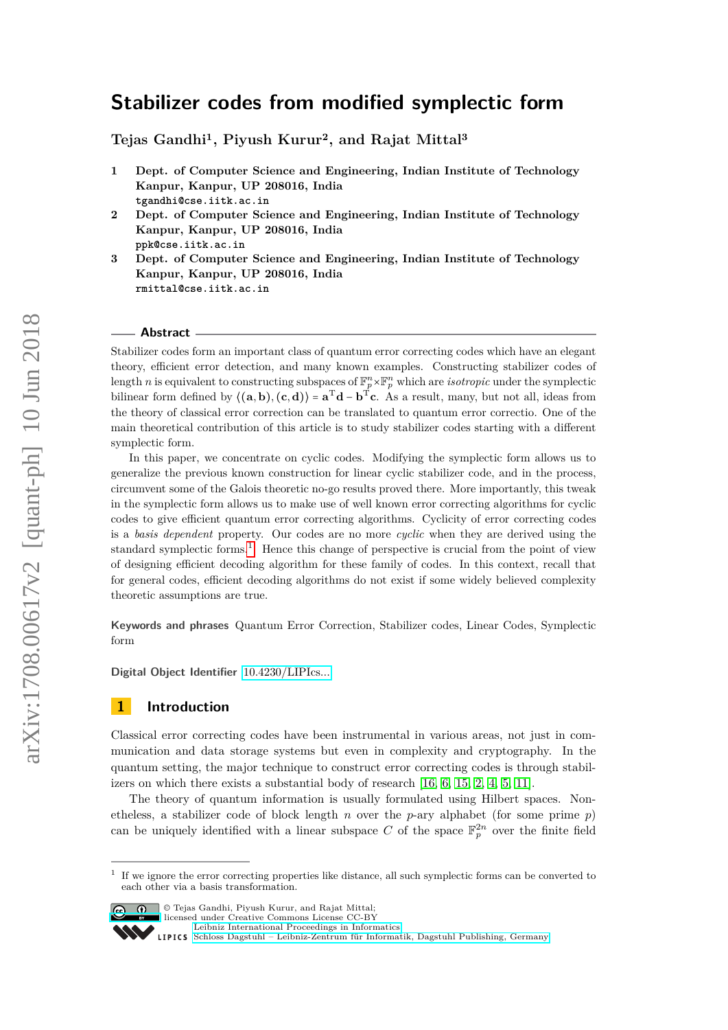# **Stabilizer codes from modified symplectic form**

**Tejas Gandhi<sup>1</sup>, Piyush Kurur<sup>2</sup>, and Rajat Mittal<sup>3</sup>**

- **1 Dept. of Computer Science and Engineering, Indian Institute of Technology Kanpur, Kanpur, UP 208016, India tgandhi@cse.iitk.ac.in**
- **2 Dept. of Computer Science and Engineering, Indian Institute of Technology Kanpur, Kanpur, UP 208016, India ppk@cse.iitk.ac.in**
- **3 Dept. of Computer Science and Engineering, Indian Institute of Technology Kanpur, Kanpur, UP 208016, India rmittal@cse.iitk.ac.in**

#### **Abstract**

Stabilizer codes form an important class of quantum error correcting codes which have an elegant theory, efficient error detection, and many known examples. Constructing stabilizer codes of length *n* is equivalent to constructing subspaces of  $\mathbb{F}_p^n \times \mathbb{F}_p^n$  which are *isotropic* under the symplectic bilinear form defined by  $\langle (a,b), (c,d) \rangle = a^T d - b^T c$ . As a result, many, but not all, ideas from the theory of classical error correction can be translated to quantum error correctio. One of the main theoretical contribution of this article is to study stabilizer codes starting with a different symplectic form.

In this paper, we concentrate on cyclic codes. Modifying the symplectic form allows us to generalize the previous known construction for linear cyclic stabilizer code, and in the process, circumvent some of the Galois theoretic no-go results proved there. More importantly, this tweak in the symplectic form allows us to make use of well known error correcting algorithms for cyclic codes to give efficient quantum error correcting algorithms. Cyclicity of error correcting codes is a *basis dependent* property. Our codes are no more *cyclic* when they are derived using the standard symplectic forms.<sup>[1](#page-0-0)</sup>. Hence this change of perspective is crucial from the point of view of designing efficient decoding algorithm for these family of codes. In this context, recall that for general codes, efficient decoding algorithms do not exist if some widely believed complexity theoretic assumptions are true.

**Keywords and phrases** Quantum Error Correction, Stabilizer codes, Linear Codes, Symplectic form

**Digital Object Identifier** [10.4230/LIPIcs...](http://dx.doi.org/10.4230/LIPIcs...)

### **1 Introduction**

Classical error correcting codes have been instrumental in various areas, not just in communication and data storage systems but even in complexity and cryptography. In the quantum setting, the major technique to construct error correcting codes is through stabilizers on which there exists a substantial body of research [\[16,](#page-11-0) [6,](#page-11-1) [15,](#page-11-2) [2,](#page-11-3) [4,](#page-11-4) [5,](#page-11-5) [11\]](#page-11-6).

The theory of quantum information is usually formulated using Hilbert spaces. Nonetheless, a stabilizer code of block length *n* over the *p*-ary alphabet (for some prime *p*) can be uniquely identified with a linear subspace C of the space  $\mathbb{F}_p^{2n}$  over the finite field

<span id="page-0-0"></span><sup>1</sup> If we ignore the error correcting properties like distance, all such symplectic forms can be converted to each other via a basis transformation.



 $\boxed{\text{c}}$   $\boxed{\text{ }0\quad}$  © Tejas Gandhi, Piyush Kurur, and Rajat Mittal: licensed under Creative Commons License CC-BY

[Leibniz International Proceedings in Informatics](http://www.dagstuhl.de/lipics/)

[Schloss Dagstuhl – Leibniz-Zentrum für Informatik, Dagstuhl Publishing, Germany](http://www.dagstuhl.de)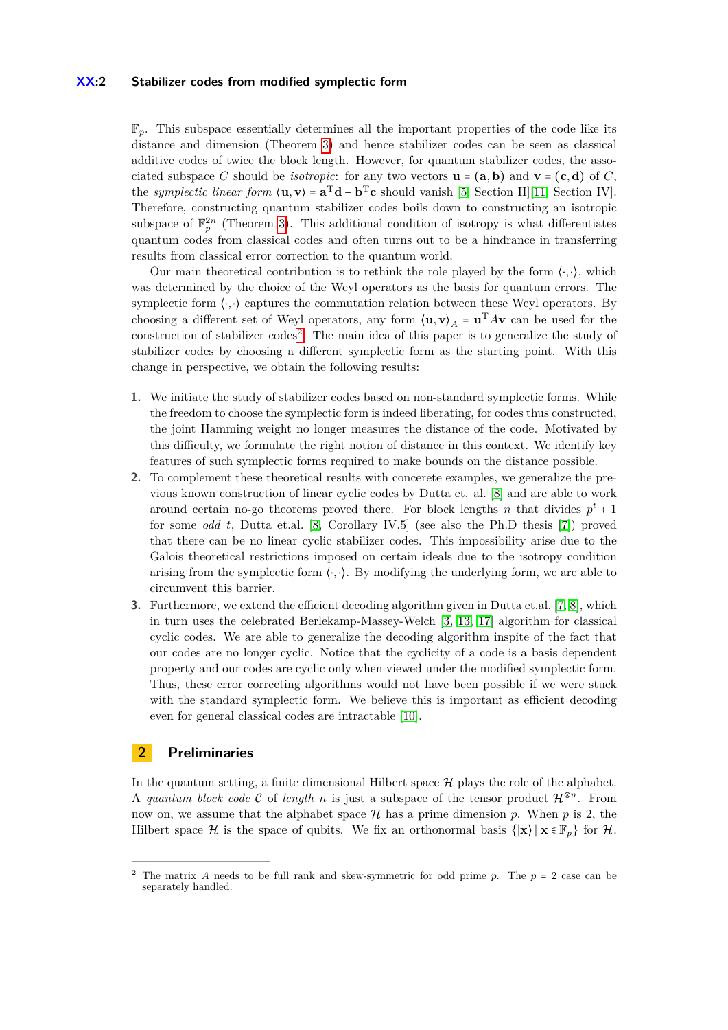#### **XX:2 Stabilizer codes from modified symplectic form**

F*p*. This subspace essentially determines all the important properties of the code like its distance and dimension (Theorem [3\)](#page-3-0) and hence stabilizer codes can be seen as classical additive codes of twice the block length. However, for quantum stabilizer codes, the associated subspace *C* should be *isotropic*: for any two vectors  $\mathbf{u} = (\mathbf{a}, \mathbf{b})$  and  $\mathbf{v} = (\mathbf{c}, \mathbf{d})$  of *C*, the *symplectic linear form*  $\langle \mathbf{u}, \mathbf{v} \rangle = \mathbf{a}^T \mathbf{d} - \mathbf{b}^T \mathbf{c}$  should vanish [\[5,](#page-11-5) Section II][\[11,](#page-11-6) Section IV]. Therefore, constructing quantum stabilizer codes boils down to constructing an isotropic subspace of  $\mathbb{F}_p^{2n}$  (Theorem [3\)](#page-3-0). This additional condition of isotropy is what differentiates quantum codes from classical codes and often turns out to be a hindrance in transferring results from classical error correction to the quantum world.

Our main theoretical contribution is to rethink the role played by the form  $\langle \cdot, \cdot \rangle$ , which was determined by the choice of the Weyl operators as the basis for quantum errors. The symplectic form  $\langle \cdot, \cdot \rangle$  captures the commutation relation between these Weyl operators. By choosing a different set of Weyl operators, any form  $\langle \mathbf{u}, \mathbf{v} \rangle_A = \mathbf{u}^T A \mathbf{v}$  can be used for the construction of stabilizer codes<sup>[2](#page-1-0)</sup>. The main idea of this paper is to generalize the study of stabilizer codes by choosing a different symplectic form as the starting point. With this change in perspective, we obtain the following results:

- **1.** We initiate the study of stabilizer codes based on non-standard symplectic forms. While the freedom to choose the symplectic form is indeed liberating, for codes thus constructed, the joint Hamming weight no longer measures the distance of the code. Motivated by this difficulty, we formulate the right notion of distance in this context. We identify key features of such symplectic forms required to make bounds on the distance possible.
- **2.** To complement these theoretical results with concerete examples, we generalize the previous known construction of linear cyclic codes by Dutta et. al. [\[8\]](#page-11-7) and are able to work around certain no-go theorems proved there. For block lengths *n* that divides  $p^t + 1$ for some *odd t*, Dutta et.al. [\[8,](#page-11-7) Corollary IV.5] (see also the Ph.D thesis [\[7\]](#page-11-8)) proved that there can be no linear cyclic stabilizer codes. This impossibility arise due to the Galois theoretical restrictions imposed on certain ideals due to the isotropy condition arising from the symplectic form  $\langle \cdot, \cdot \rangle$ . By modifying the underlying form, we are able to circumvent this barrier.
- **3.** Furthermore, we extend the efficient decoding algorithm given in Dutta et.al. [\[7,](#page-11-8) [8\]](#page-11-7), which in turn uses the celebrated Berlekamp-Massey-Welch [\[3,](#page-11-9) [13,](#page-11-10) [17\]](#page-11-11) algorithm for classical cyclic codes. We are able to generalize the decoding algorithm inspite of the fact that our codes are no longer cyclic. Notice that the cyclicity of a code is a basis dependent property and our codes are cyclic only when viewed under the modified symplectic form. Thus, these error correcting algorithms would not have been possible if we were stuck with the standard symplectic form. We believe this is important as efficient decoding even for general classical codes are intractable [\[10\]](#page-11-12).

# **2 Preliminaries**

In the quantum setting, a finite dimensional Hilbert space  $\mathcal{H}$  plays the role of the alphabet. A *quantum block code* C of *length n* is just a subspace of the tensor product  $\mathcal{H}^{\otimes n}$ . From now on, we assume that the alphabet space  $H$  has a prime dimension p. When p is 2, the Hilbert space H is the space of qubits. We fix an orthonormal basis  $\{|\mathbf{x}\rangle \mid \mathbf{x} \in \mathbb{F}_p\}$  for H.

<span id="page-1-0"></span><sup>&</sup>lt;sup>2</sup> The matrix *A* needs to be full rank and skew-symmetric for odd prime *p*. The  $p = 2$  case can be separately handled.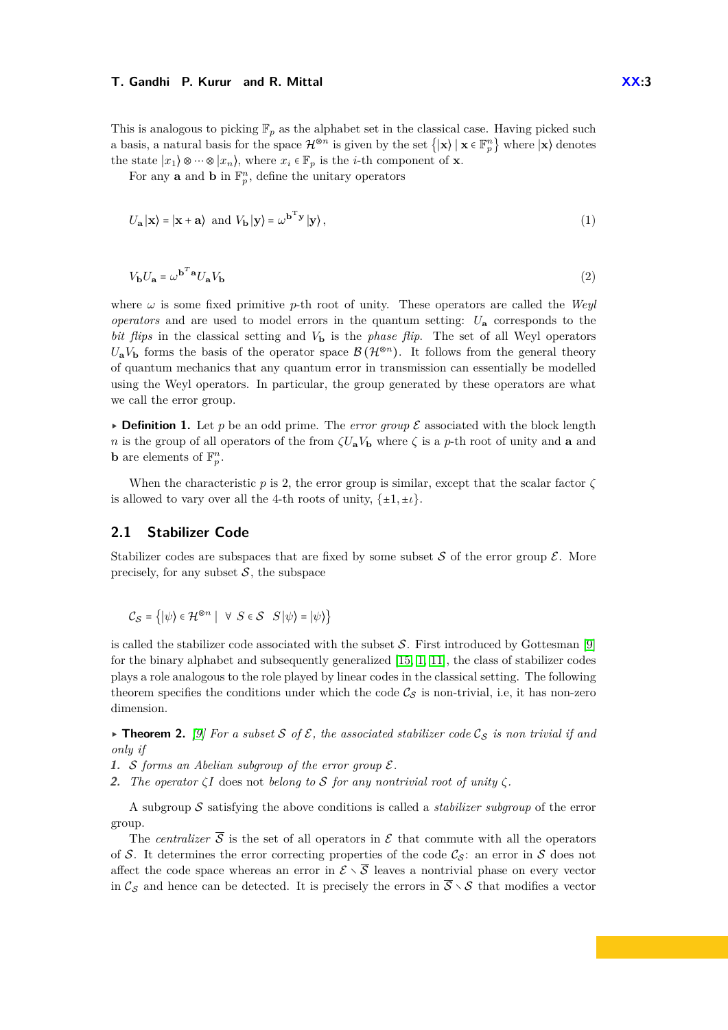This is analogous to picking  $\mathbb{F}_p$  as the alphabet set in the classical case. Having picked such a basis, a natural basis for the space  $\mathcal{H}^{\otimes n}$  is given by the set  $\{|\mathbf{x}\rangle \mid \mathbf{x} \in \mathbb{F}_p^n\}$  where  $|\mathbf{x}\rangle$  denotes the state  $|x_1\rangle \otimes \cdots \otimes |x_n\rangle$ , where  $x_i \in \mathbb{F}_p$  is the *i*-th component of **x**.

For any **a** and **b** in  $\mathbb{F}_p^n$ , define the unitary operators

$$
U_{\mathbf{a}}|\mathbf{x}\rangle = |\mathbf{x} + \mathbf{a}\rangle \text{ and } V_{\mathbf{b}}|\mathbf{y}\rangle = \omega^{\mathbf{b}^{\mathrm{T}}\mathbf{y}}|\mathbf{y}\rangle,
$$
\n(1)

$$
V_{\mathbf{b}}U_{\mathbf{a}} = \omega^{\mathbf{b}^T \mathbf{a}} U_{\mathbf{a}} V_{\mathbf{b}} \tag{2}
$$

where  $\omega$  is some fixed primitive *p*-th root of unity. These operators are called the *Weyl operators* and are used to model errors in the quantum setting:  $U_{\mathbf{a}}$  corresponds to the *bit flips* in the classical setting and *V***<sup>b</sup>** is the *phase flip*. The set of all Weyl operators  $U_{\bf a}V_{\bf b}$  forms the basis of the operator space  $\mathcal{B}(\mathcal{H}^{\otimes n})$ . It follows from the general theory of quantum mechanics that any quantum error in transmission can essentially be modelled using the Weyl operators. In particular, the group generated by these operators are what we call the error group.

**• Definition 1.** Let p be an odd prime. The error group  $\mathcal{E}$  associated with the block length *n* is the group of all operators of the from  $\zeta U_{\mathbf{a}}V_{\mathbf{b}}$  where  $\zeta$  is a *p*-th root of unity and **a** and **b** are elements of  $\mathbb{F}_p^n$ .

When the characteristic  $p$  is 2, the error group is similar, except that the scalar factor  $\zeta$ is allowed to vary over all the 4-th roots of unity,  $\{\pm 1, \pm \iota\}$ .

### **2.1 Stabilizer Code**

Stabilizer codes are subspaces that are fixed by some subset S of the error group  $\mathcal{E}$ . More precisely, for any subset  $S$ , the subspace

$$
\mathcal{C}_{\mathcal{S}} = \{ |\psi\rangle \in \mathcal{H}^{\otimes n} \mid \forall S \in \mathcal{S} \mid S | \psi\rangle = |\psi\rangle \}
$$

is called the stabilizer code associated with the subset  $S$ . First introduced by Gottesman [\[9\]](#page-11-13) for the binary alphabet and subsequently generalized [\[15,](#page-11-2) [1,](#page-11-14) [11\]](#page-11-6), the class of stabilizer codes plays a role analogous to the role played by linear codes in the classical setting. The following theorem specifies the conditions under which the code  $\mathcal{C}_S$  is non-trivial, i.e, it has non-zero dimension.

**Findmark 1. 10.** For a subset S of E, the associated stabilizer code  $\mathcal{C}_{\mathcal{S}}$  is non trivial if and *only if*

**1.** S *forms an Abelian subgroup of the error group* E*.*

**2.** *The operator*  $\zeta I$  does not *belong to* S *for any nontrivial root of unity*  $\zeta$ *.* 

A subgroup S satisfying the above conditions is called a *stabilizer subgroup* of the error group.

The *centralizer*  $\overline{S}$  is the set of all operators in  $\mathcal E$  that commute with all the operators of S. It determines the error correcting properties of the code  $\mathcal{C}_S$ : an error in S does not affect the code space whereas an error in  $\mathcal{E} \setminus \overline{\mathcal{S}}$  leaves a nontrivial phase on every vector in  $\mathcal{C}_{\mathcal{S}}$  and hence can be detected. It is precisely the errors in  $\overline{\mathcal{S}} \setminus \mathcal{S}$  that modifies a vector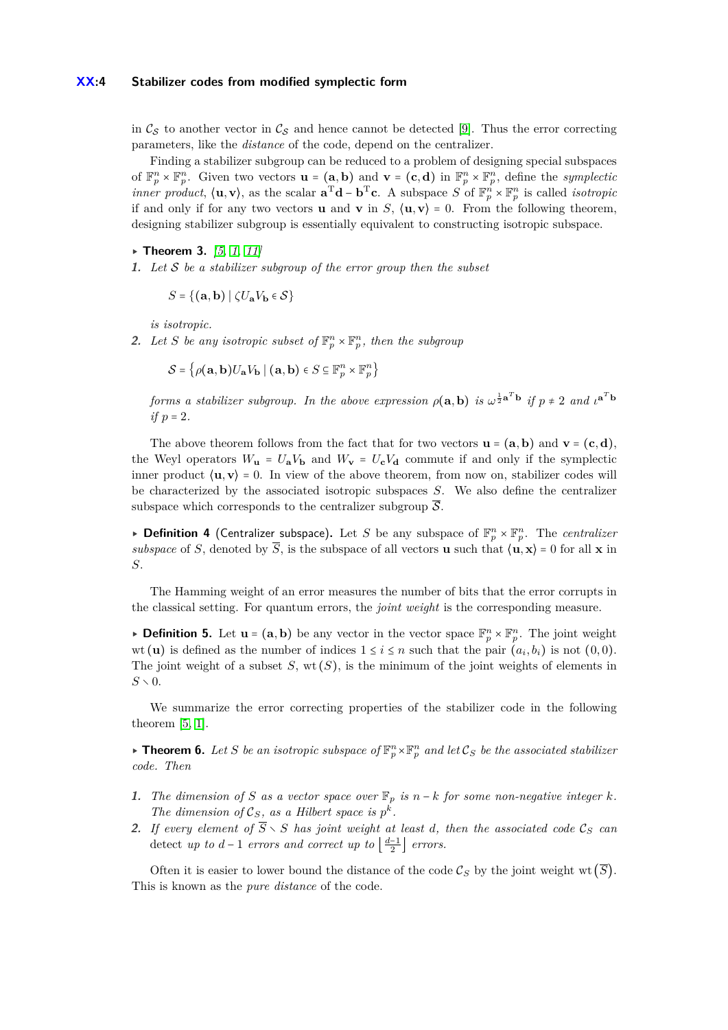#### **XX:4 Stabilizer codes from modified symplectic form**

in  $\mathcal{C}_{\mathcal{S}}$  to another vector in  $\mathcal{C}_{\mathcal{S}}$  and hence cannot be detected [\[9\]](#page-11-13). Thus the error correcting parameters, like the *distance* of the code, depend on the centralizer.

Finding a stabilizer subgroup can be reduced to a problem of designing special subspaces of  $\mathbb{F}_p^n \times \mathbb{F}_p^n$ . Given two vectors  $\mathbf{u} = (\mathbf{a}, \mathbf{b})$  and  $\mathbf{v} = (\mathbf{c}, \mathbf{d})$  in  $\mathbb{F}_p^n \times \mathbb{F}_p^n$ , define the *symplectic inner product*,  $\langle \mathbf{u}, \mathbf{v} \rangle$ , as the scalar  $\mathbf{a}^T \mathbf{d} - \mathbf{b}^T \mathbf{c}$ . A subspace *S* of  $\mathbb{F}_p^n \times \mathbb{F}_p^n$  is called *isotropic* if and only if for any two vectors **u** and **v** in *S*,  $\langle \mathbf{u}, \mathbf{v} \rangle = 0$ . From the following theorem, designing stabilizer subgroup is essentially equivalent to constructing isotropic subspace.

- <span id="page-3-0"></span>▸ **Theorem 3.** *[\[5,](#page-11-5) [1,](#page-11-14) [11\]](#page-11-6)*
- **1.** *Let* S *be a stabilizer subgroup of the error group then the subset*

$$
S = \{(\mathbf{a}, \mathbf{b}) \mid \zeta U_{\mathbf{a}} V_{\mathbf{b}} \in \mathcal{S}\}
$$

*is isotropic.*

**2.** Let *S* be any isotropic subset of  $\mathbb{F}_p^n \times \mathbb{F}_p^n$ , then the subgroup

 $\mathcal{S} = \left\{ \rho(\mathbf{a}, \mathbf{b}) U_{\mathbf{a}} V_{\mathbf{b}} \mid (\mathbf{a}, \mathbf{b}) \in S \subseteq \mathbb{F}_p^n \times \mathbb{F}_p^n \right\}$ 

*forms a stabilizer subgroup. In the above expression*  $\rho(a,b)$  *is*  $\omega^{\frac{1}{2}a^Tb}$  *if*  $p \neq 2$  *and*  $\iota^{a^Tb}$ *if p* = 2*.*

The above theorem follows from the fact that for two vectors  $\mathbf{u} = (\mathbf{a}, \mathbf{b})$  and  $\mathbf{v} = (\mathbf{c}, \mathbf{d})$ , the Weyl operators  $W_{\mathbf{u}} = U_{\mathbf{a}}V_{\mathbf{b}}$  and  $W_{\mathbf{v}} = U_{\mathbf{c}}V_{\mathbf{d}}$  commute if and only if the symplectic inner product  $\langle \mathbf{u}, \mathbf{v} \rangle = 0$ . In view of the above theorem, from now on, stabilizer codes will be characterized by the associated isotropic subspaces *S*. We also define the centralizer subspace which corresponds to the centralizer subgroup  $\overline{S}$ .

**• Definition 4** (Centralizer subspace). Let *S* be any subspace of  $\mathbb{F}_p^n \times \mathbb{F}_p^n$ . The *centralizer subspace* of *S*, denoted by  $\overline{S}$ , is the subspace of all vectors **u** such that  $\langle \mathbf{u}, \mathbf{x} \rangle = 0$  for all **x** in *S*.

The Hamming weight of an error measures the number of bits that the error corrupts in the classical setting. For quantum errors, the *joint weight* is the corresponding measure.

**• Definition 5.** Let  $\mathbf{u} = (\mathbf{a}, \mathbf{b})$  be any vector in the vector space  $\mathbb{F}_p^n \times \mathbb{F}_p^n$ . The joint weight wt (**u**) is defined as the number of indices  $1 \leq i \leq n$  such that the pair  $(a_i, b_i)$  is not  $(0, 0)$ . The joint weight of a subset  $S$ , wt $(S)$ , is the minimum of the joint weights of elements in  $S \times 0$ .

We summarize the error correcting properties of the stabilizer code in the following theorem [\[5,](#page-11-5) [1\]](#page-11-14).

<span id="page-3-1"></span> $\triangleright$  **Theorem 6.** Let *S* be an isotropic subspace of  $\mathbb{F}_p^n \times \mathbb{F}_p^n$  and let  $\mathcal{C}_S$  be the associated stabilizer *code. Then*

- **1.** The dimension of *S* as a vector space over  $\mathbb{F}_p$  is  $n k$  for some non-negative integer  $k$ . *The dimension of*  $\mathcal{C}_S$ *, as a Hilbert space is*  $p^k$ *.*
- **2.** *If every element of*  $\overline{S} \setminus S$  *has joint weight at least d, then the associated code*  $\mathcal{C}_S$  *can* detect *up to*  $d-1$  *errors and correct up to*  $\left\lfloor \frac{d-1}{2} \right\rfloor$  *errors.*

Often it is easier to lower bound the distance of the code  $\mathcal{C}_S$  by the joint weight wt  $(\overline{S})$ . This is known as the *pure distance* of the code.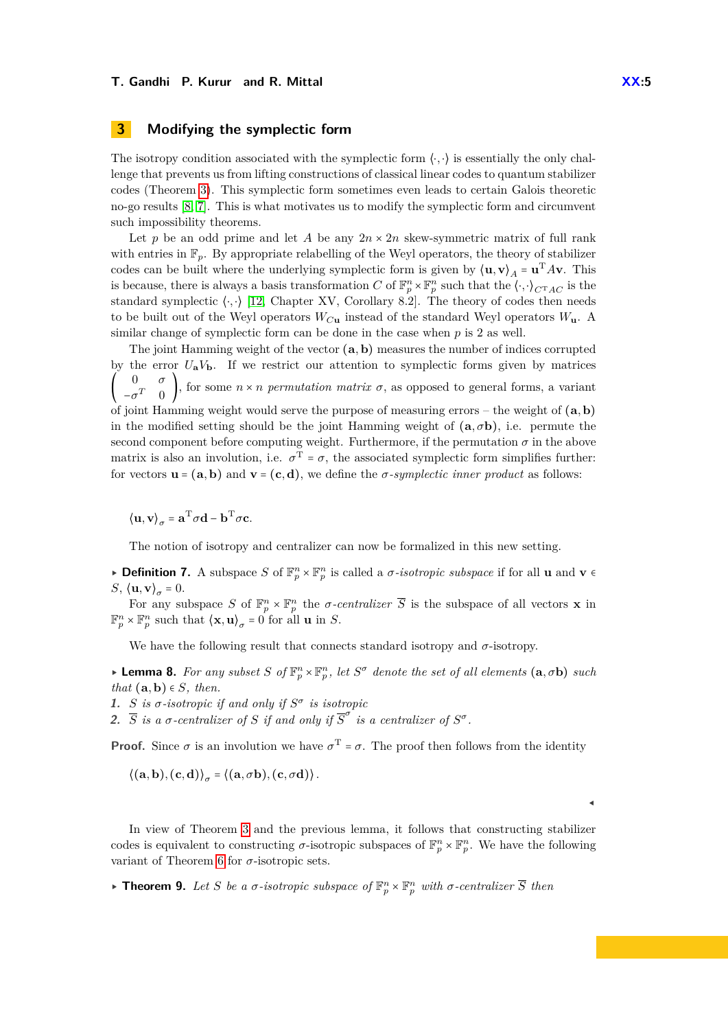# **3 Modifying the symplectic form**

The isotropy condition associated with the symplectic form  $\langle \cdot, \cdot \rangle$  is essentially the only challenge that prevents us from lifting constructions of classical linear codes to quantum stabilizer codes (Theorem [3\)](#page-3-0). This symplectic form sometimes even leads to certain Galois theoretic no-go results [\[8,](#page-11-7) [7\]](#page-11-8). This is what motivates us to modify the symplectic form and circumvent such impossibility theorems.

Let *p* be an odd prime and let *A* be any  $2n \times 2n$  skew-symmetric matrix of full rank with entries in  $\mathbb{F}_p$ . By appropriate relabelling of the Weyl operators, the theory of stabilizer codes can be built where the underlying symplectic form is given by  $\langle \mathbf{u}, \mathbf{v} \rangle_A = \mathbf{u}^T A \mathbf{v}$ . This is because, there is always a basis transformation *C* of  $\mathbb{F}_p^n \times \mathbb{F}_p^n$  such that the  $\langle \cdot, \cdot \rangle_{C^{\mathrm{T}}AC}$  is the standard symplectic  $\langle \cdot, \cdot \rangle$  [\[12,](#page-11-15) Chapter XV, Corollary 8.2]. The theory of codes then needs to be built out of the Weyl operators *WC***<sup>u</sup>** instead of the standard Weyl operators *W***u**. A similar change of symplectic form can be done in the case when *p* is 2 as well.

The joint Hamming weight of the vector (**a***,***b**) measures the number of indices corrupted by the error  $U_a V_b$ . If we restrict our attention to symplectic forms given by matrices ( 0 *σ*  $-\sigma^T$  0 , for some  $n \times n$  *permutation matrix*  $\sigma$ , as opposed to general forms, a variant of joint Hamming weight would serve the purpose of measuring errors – the weight of (**a***,***b**) in the modified setting should be the joint Hamming weight of  $(a, \sigma b)$ , i.e. permute the second component before computing weight. Furthermore, if the permutation  $\sigma$  in the above matrix is also an involution, i.e.  $\sigma^T = \sigma$ , the associated symplectic form simplifies further: for vectors  $\mathbf{u} = (\mathbf{a}, \mathbf{b})$  and  $\mathbf{v} = (\mathbf{c}, \mathbf{d})$ , we define the *σ-symplectic inner product* as follows:

 $\langle \mathbf{u}, \mathbf{v} \rangle_{\sigma} = \mathbf{a}^{\mathrm{T}} \sigma \mathbf{d} - \mathbf{b}^{\mathrm{T}} \sigma \mathbf{c}.$ 

The notion of isotropy and centralizer can now be formalized in this new setting.

**► Definition 7.** A subspace *S* of  $\mathbb{F}_p^n \times \mathbb{F}_p^n$  is called a *σ-isotropic subspace* if for all **u** and **v** ∈ *S*,  $\langle \mathbf{u}, \mathbf{v} \rangle_{\sigma} = 0.$ 

For any subspace *S* of  $\mathbb{F}_p^n \times \mathbb{F}_p^n$  the *σ-centralizer*  $\overline{S}$  is the subspace of all vectors **x** in  $\mathbb{F}_p^n \times \mathbb{F}_p^n$  such that  $\langle \mathbf{x}, \mathbf{u} \rangle_\sigma = 0$  for all **u** in *S*.

We have the following result that connects standard isotropy and  $\sigma$ -isotropy.

<span id="page-4-0"></span> $\blacktriangleright$  **Lemma 8.** For any subset *S* of  $\mathbb{F}_p^n \times \mathbb{F}_p^n$ , let  $S^{\sigma}$  denote the set of all elements  $(a, \sigma b)$  such *that*  $(a, b) \in S$ *, then.* 

**1.** *S is*  $\sigma$ -*isotropic if* and only *if*  $S^{\sigma}$  *is isotropic* 

**2.**  $\overline{S}$  *is a σ*-centralizer of *S if and only if*  $\overline{S}^{\sigma}$  *is a centralizer of*  $S^{\sigma}$ .

**Proof.** Since  $\sigma$  is an involution we have  $\sigma^T = \sigma$ . The proof then follows from the identity

$$
\langle (a,b),(c,d) \rangle_{\sigma} = \langle (a,\sigma b),(c,\sigma d) \rangle.
$$

In view of Theorem [3](#page-3-0) and the previous lemma, it follows that constructing stabilizer codes is equivalent to constructing  $\sigma$ -isotropic subspaces of  $\mathbb{F}_p^n \times \mathbb{F}_p^n$ . We have the following variant of Theorem [6](#page-3-1) for  $\sigma$ -isotropic sets.

<span id="page-4-1"></span>**Figure 1 Figure 1 Figure 1** *g*  $E_p^n$  *g*  $F_p^n$  *with*  $\sigma$ -centralizer  $\overline{S}$  then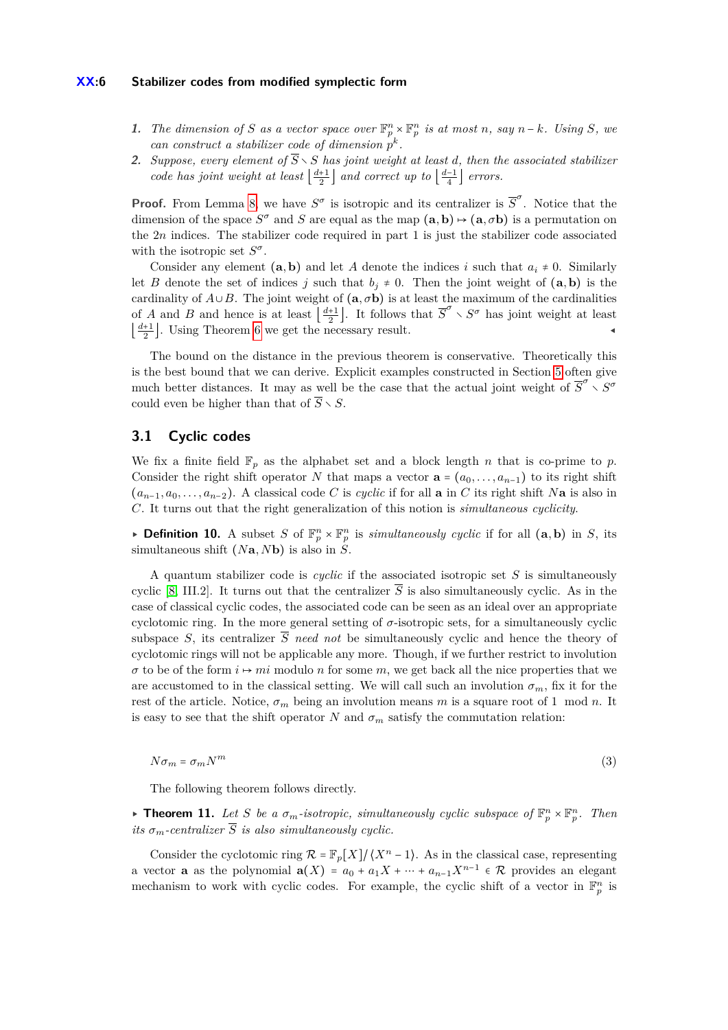#### **XX:6 Stabilizer codes from modified symplectic form**

- **1.** The dimension of S as a vector space over  $\mathbb{F}_p^n \times \mathbb{F}_p^n$  is at most n, say  $n k$ *. Using* S, we *can construct a stabilizer code of dimension*  $p^k$ .
- **2.** *Suppose, every element of*  $\overline{S} \setminus S$  *has joint weight at least d, then the associated stabilizer code has joint weight at least*  $\left\lfloor \frac{d+1}{2} \right\rfloor$  *and correct up to*  $\left\lfloor \frac{d-1}{4} \right\rfloor$  *errors.*

**Proof.** From Lemma [8,](#page-4-0) we have  $S^{\sigma}$  is isotropic and its centralizer is  $\overline{S}^{\sigma}$ . Notice that the dimension of the space  $S^{\sigma}$  and *S* are equal as the map  $(a, b) \mapsto (a, \sigma b)$  is a permutation on the 2*n* indices. The stabilizer code required in part 1 is just the stabilizer code associated with the isotropic set *S σ* .

Consider any element  $(a, b)$  and let *A* denote the indices *i* such that  $a_i \neq 0$ . Similarly let *B* denote the set of indices *j* such that  $b_j \neq 0$ . Then the joint weight of  $(a, b)$  is the cardinality of  $A \cup B$ . The joint weight of  $(a, \sigma b)$  is at least the maximum of the cardinalities of *A* and *B* and hence is at least  $\left[\frac{d+1}{2}\right]$ . It follows that  $\overline{S}^{\sigma} \setminus S^{\sigma}$  has joint weight at least  $\left\lfloor \frac{d+1}{2} \right\rfloor$ . Using Theorem [6](#page-3-1) we get the necessary result.

The bound on the distance in the previous theorem is conservative. Theoretically this is the best bound that we can derive. Explicit examples constructed in Section [5](#page-10-0) often give much better distances. It may as well be the case that the actual joint weight of  $\overline{S}^{\sigma} \times S^{\sigma}$ could even be higher than that of  $\overline{S} \setminus S$ .

# **3.1 Cyclic codes**

We fix a finite field  $\mathbb{F}_p$  as the alphabet set and a block length *n* that is co-prime to *p*. Consider the right shift operator *N* that maps a vector  $\mathbf{a} = (a_0, \ldots, a_{n-1})$  to its right shift  $(a_{n-1}, a_0, \ldots, a_{n-2})$ . A classical code *C* is *cyclic* if for all **a** in *C* its right shift *N***a** is also in *C*. It turns out that the right generalization of this notion is *simultaneous cyclicity*.

**• Definition 10.** A subset *S* of  $\mathbb{F}_p^n \times \mathbb{F}_p^n$  is *simultaneously cyclic* if for all  $(a, b)$  in *S*, its simultaneous shift  $(Na, Nb)$  is also in  $\overline{S}$ .

A quantum stabilizer code is *cyclic* if the associated isotropic set *S* is simultaneously cyclic [\[8,](#page-11-7) III.2]. It turns out that the centralizer  $\overline{S}$  is also simultaneously cyclic. As in the case of classical cyclic codes, the associated code can be seen as an ideal over an appropriate cyclotomic ring. In the more general setting of  $\sigma$ -isotropic sets, for a simultaneously cyclic subspace *S*, its centralizer  $\overline{S}$  *need not* be simultaneously cyclic and hence the theory of cyclotomic rings will not be applicable any more. Though, if we further restrict to involution  $\sigma$  to be of the form  $i \rightarrow mi$  modulo *n* for some *m*, we get back all the nice properties that we are accustomed to in the classical setting. We will call such an involution  $\sigma_m$ , fix it for the rest of the article. Notice,  $\sigma_m$  being an involution means *m* is a square root of 1 mod *n*. It is easy to see that the shift operator *N* and  $\sigma_m$  satisfy the commutation relation:

<span id="page-5-0"></span>
$$
N\sigma_m = \sigma_m N^m \tag{3}
$$

The following theorem follows directly.

<span id="page-5-1"></span>**Figure 11.** Let S be a  $\sigma_m$ -isotropic, simultaneously cyclic subspace of  $\mathbb{F}_p^n \times \mathbb{F}_p^n$ . Then *its*  $\sigma_m$ -centralizer  $\overline{S}$  *is also simultaneously cyclic.* 

Consider the cyclotomic ring  $\mathcal{R} = \mathbb{F}_p[X]/\langle X^n - 1 \rangle$ . As in the classical case, representing a vector **a** as the polynomial  $\mathbf{a}(X) = a_0 + a_1 X + \cdots + a_{n-1} X^{n-1} \in \mathcal{R}$  provides an elegant mechanism to work with cyclic codes. For example, the cyclic shift of a vector in  $\mathbb{F}_p^n$  is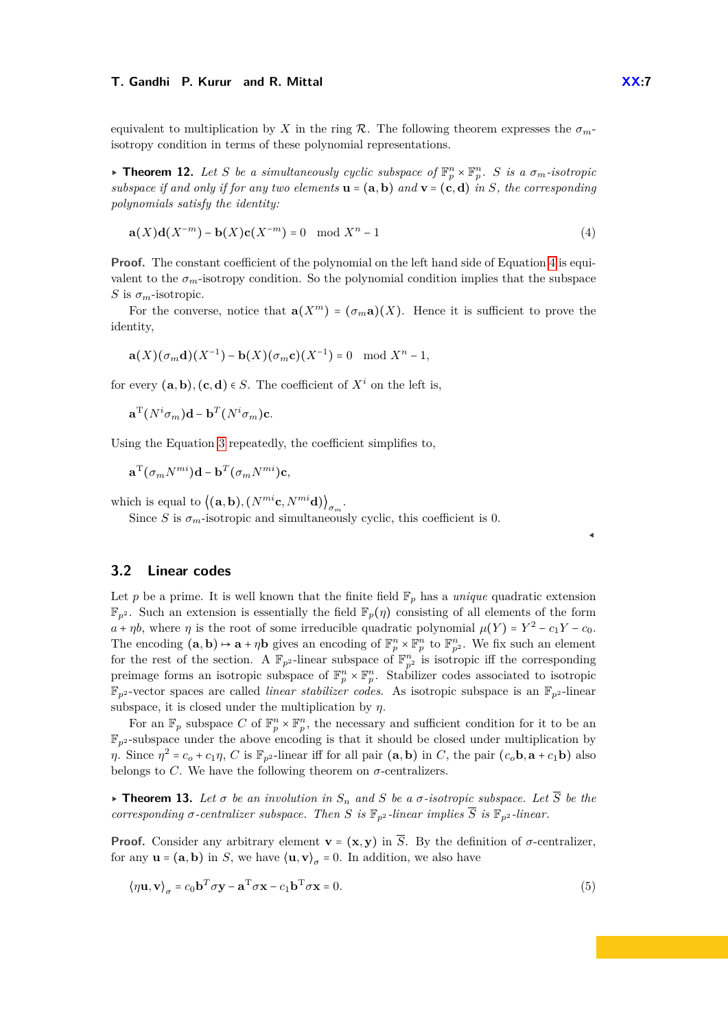equivalent to multiplication by *X* in the ring  $\mathcal{R}$ . The following theorem expresses the  $\sigma_{m}$ isotropy condition in terms of these polynomial representations.

 $\triangleright$  **Theorem 12.** Let S be a simultaneously cyclic subspace of  $\mathbb{F}_p^n \times \mathbb{F}_p^n$ . S is a  $\sigma_m$ -isotropic *subspace if and only if for any two elements*  $\mathbf{u} = (\mathbf{a}, \mathbf{b})$  *and*  $\mathbf{v} = (\mathbf{c}, \mathbf{d})$  *in S*, the corresponding *polynomials satisfy the identity:*

<span id="page-6-0"></span>
$$
\mathbf{a}(X)\mathbf{d}(X^{-m}) - \mathbf{b}(X)\mathbf{c}(X^{-m}) = 0 \mod X^{n} - 1
$$
\n<sup>(4)</sup>

**Proof.** The constant coefficient of the polynomial on the left hand side of Equation [4](#page-6-0) is equivalent to the  $\sigma_m$ -isotropy condition. So the polynomial condition implies that the subspace *S* is  $\sigma_m$ -isotropic.

For the converse, notice that  $\mathbf{a}(X^m) = (\sigma_m \mathbf{a})(X)$ . Hence it is sufficient to prove the identity,

$$
\mathbf{a}(X)(\sigma_m \mathbf{d})(X^{-1}) - \mathbf{b}(X)(\sigma_m \mathbf{c})(X^{-1}) = 0 \mod X^n - 1,
$$

for every  $(**a**, **b**), (**c**, **d**) \in S$ . The coefficient of  $X<sup>i</sup>$  on the left is,

 $\mathbf{a}^{\mathrm{T}}(N^{i}\sigma_{m})\mathbf{d} - \mathbf{b}^{\mathrm{T}}(N^{i}\sigma_{m})\mathbf{c}.$ 

Using the Equation [3](#page-5-0) repeatedly, the coefficient simplifies to,

 $\mathbf{a}^{\mathrm{T}}(\sigma_m N^{mi})\mathbf{d} - \mathbf{b}^T(\sigma_m N^{mi})\mathbf{c}$ *,* 

which is equal to  $\left\langle (\mathbf{a}, \mathbf{b}), (N^{mi} \mathbf{c}, N^{mi} \mathbf{d}) \right\rangle_{\sigma_m}$ .

Since *S* is  $\sigma_m$ -isotropic and simultaneously cyclic, this coefficient is 0.

### **3.2 Linear codes**

Let p be a prime. It is well known that the finite field  $\mathbb{F}_p$  has a *unique* quadratic extension  $\mathbb{F}_{p^2}$ . Such an extension is essentially the field  $\mathbb{F}_p(\eta)$  consisting of all elements of the form *a* + *ηb*, where *η* is the root of some irreducible quadratic polynomial  $\mu(Y) = Y^2 - c_1Y - c_0$ . The encoding  $(\mathbf{a}, \mathbf{b}) \mapsto \mathbf{a} + \eta \mathbf{b}$  gives an encoding of  $\mathbb{F}_p^n \times \mathbb{F}_p^n$  to  $\mathbb{F}_{p^2}^n$ . We fix such an element for the rest of the section. A  $\mathbb{F}_{p^2}$ -linear subspace of  $\mathbb{F}_{p^2}^n$  is isotropic iff the corresponding preimage forms an isotropic subspace of  $\mathbb{F}_p^n \times \mathbb{F}_p^n$ . Stabilizer codes associated to isotropic  $\mathbb{F}_{p^2}$ -vector spaces are called *linear stabilizer codes*. As isotropic subspace is an  $\mathbb{F}_{p^2}$ -linear subspace, it is closed under the multiplication by  $\eta$ .

For an  $\mathbb{F}_p$  subspace *C* of  $\mathbb{F}_p^n \times \mathbb{F}_p^n$ , the necessary and sufficient condition for it to be an  $\mathbb{F}_{p^2}$ -subspace under the above encoding is that it should be closed under multiplication by  $\eta$ . Since  $\eta^2 = c_o + c_1 \eta$ , C is  $\mathbb{F}_{p^2}$ -linear iff for all pair  $(a, b)$  in C, the pair  $(c_o, b, a + c_1b)$  also belongs to *C*. We have the following theorem on  $\sigma$ -centralizers.

**Find 13.** Let  $\sigma$  be an involution in  $S_n$  and  $S$  be a  $\sigma$ -isotropic subspace. Let  $\overline{S}$  be the *corresponding*  $\sigma$ -centralizer subspace. Then S is  $\mathbb{F}_{p^2}$ -linear implies  $\overline{S}$  is  $\mathbb{F}_{p^2}$ -linear.

**Proof.** Consider any arbitrary element **v** =  $(\mathbf{x}, \mathbf{y})$  in  $\overline{S}$ . By the definition of  $\sigma$ -centralizer, for any  $\mathbf{u} = (\mathbf{a}, \mathbf{b})$  in *S*, we have  $\langle \mathbf{u}, \mathbf{v} \rangle_{\sigma} = 0$ . In addition, we also have

<span id="page-6-1"></span>
$$
\langle \eta \mathbf{u}, \mathbf{v} \rangle_{\sigma} = c_0 \mathbf{b}^T \sigma \mathbf{y} - \mathbf{a}^T \sigma \mathbf{x} - c_1 \mathbf{b}^T \sigma \mathbf{x} = 0.
$$
 (5)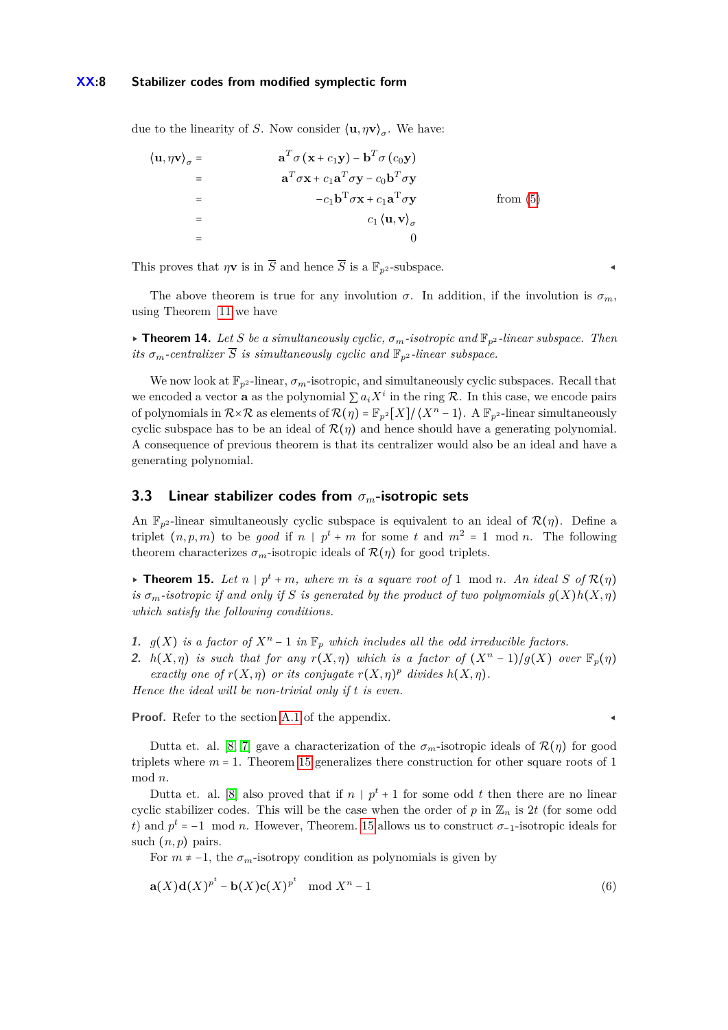due to the linearity of *S*. Now consider  $\langle \mathbf{u}, \eta \mathbf{v} \rangle_{\sigma}$ . We have:

$$
\langle \mathbf{u}, \eta \mathbf{v} \rangle_{\sigma} = \mathbf{a}^{T} \sigma (\mathbf{x} + c_{1} \mathbf{y}) - \mathbf{b}^{T} \sigma (c_{0} \mathbf{y})
$$
  
\n
$$
= \mathbf{a}^{T} \sigma \mathbf{x} + c_{1} \mathbf{a}^{T} \sigma \mathbf{y} - c_{0} \mathbf{b}^{T} \sigma \mathbf{y}
$$
  
\n
$$
= \mathbf{b}^{T} \sigma \mathbf{x} + c_{1} \mathbf{a}^{T} \sigma \mathbf{y} \qquad \text{from (5)}
$$
  
\n
$$
= \mathbf{c}_{1} \langle \mathbf{u}, \mathbf{v} \rangle_{\sigma}
$$

This proves that  $\eta \mathbf{v}$  is in  $\overline{S}$  and hence  $\overline{S}$  is a  $\mathbb{F}_{p^2}$ -subspace.

The above theorem is true for any involution  $\sigma$ . In addition, if the involution is  $\sigma_m$ , using Theorem [11](#page-5-1) we have

▸ **Theorem 14.** *Let S be a simultaneously cyclic, σm-isotropic and* F*p*<sup>2</sup> *-linear subspace. Then its*  $\sigma_m$ -centralizer  $\overline{S}$  *is simultaneously cyclic and*  $\mathbb{F}_{p^2}$ -linear subspace.

We now look at  $\mathbb{F}_{n^2}$ -linear,  $\sigma_m$ -isotropic, and simultaneously cyclic subspaces. Recall that we encoded a vector **a** as the polynomial  $\sum a_i X^i$  in the ring R. In this case, we encode pairs of polynomials in  $\mathcal{R}\times\mathcal{R}$  as elements of  $\mathcal{R}(\eta) = \mathbb{F}_{p^2}[X]/\langle X^n - 1 \rangle$ . A  $\mathbb{F}_{p^2}$ -linear simultaneously cyclic subspace has to be an ideal of  $\mathcal{R}(\eta)$  and hence should have a generating polynomial. A consequence of previous theorem is that its centralizer would also be an ideal and have a generating polynomial.

### **3.3 Linear stabilizer codes from** *σm***-isotropic sets**

An  $\mathbb{F}_{n^2}$ -linear simultaneously cyclic subspace is equivalent to an ideal of  $\mathcal{R}(\eta)$ . Define a triplet  $(n, p, m)$  to be *good* if  $n \mid p^t + m$  for some t and  $m^2 = 1 \mod n$ . The following theorem characterizes  $\sigma_m$ -isotropic ideals of  $\mathcal{R}(\eta)$  for good triplets.

<span id="page-7-0"></span>▶ **Theorem 15.** Let  $n | p^t + m$ , where  $m$  is a square root of 1 mod  $n$ . An ideal  $S$  of  $\mathcal{R}(\eta)$ *is*  $\sigma_m$ -*isotropic if and only if S is generated by the product of two polynomials*  $g(X)h(X, \eta)$ *which satisfy the following conditions.*

- **1.**  $g(X)$  *is a factor of*  $X^n 1$  *in*  $\mathbb{F}_p$  *which includes all the odd irreducible factors.*
- **2.**  $h(X, \eta)$  is such that for any  $r(X, \eta)$  which is a factor of  $(X^n 1)/g(X)$  over  $\mathbb{F}_p(\eta)$ *exactly one of*  $r(X, \eta)$  *or its conjugate*  $r(X, \eta)$ <sup>*p*</sup> *divides*  $h(X, \eta)$ *.*

*Hence the ideal will be non-trivial only if t is even.*

**Proof.** Refer to the section [A.1](#page-13-0) of the appendix.

Dutta et. al. [\[8,](#page-11-7) [7\]](#page-11-8) gave a characterization of the  $\sigma_m$ -isotropic ideals of  $\mathcal{R}(\eta)$  for good triplets where *m* = 1. Theorem [15](#page-7-0) generalizes there construction for other square roots of 1 mod *n*.

Dutta et. al. [\[8\]](#page-11-7) also proved that if  $n | p^t + 1$  for some odd  $t$  then there are no linear cyclic stabilizer codes. This will be the case when the order of *p* in  $\mathbb{Z}_n$  is 2*t* (for some odd *t*) and  $p^t = -1 \mod n$ . However, Theorem. [15](#page-7-0) allows us to construct  $\sigma_{-1}$ -isotropic ideals for such  $(n, p)$  pairs.

For  $m \neq -1$ , the  $\sigma_m$ -isotropy condition as polynomials is given by

$$
\mathbf{a}(X)\mathbf{d}(X)^{p^t} - \mathbf{b}(X)\mathbf{c}(X)^{p^t} \mod X^n - 1
$$
\n<sup>(6)</sup>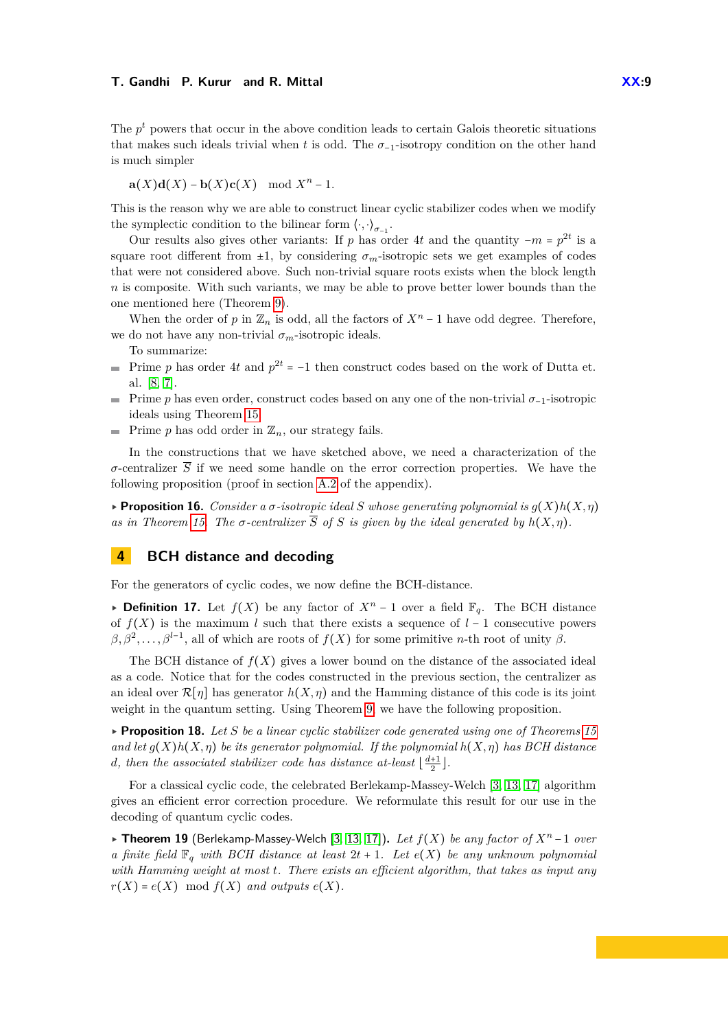The  $p<sup>t</sup>$  powers that occur in the above condition leads to certain Galois theoretic situations that makes such ideals trivial when *t* is odd. The  $\sigma_{-1}$ -isotropy condition on the other hand is much simpler

 $a(X)d(X) - b(X)c(X) \mod X^{n} - 1$ .

This is the reason why we are able to construct linear cyclic stabilizer codes when we modify the symplectic condition to the bilinear form  $\langle \cdot, \cdot \rangle_{\sigma_{-1}}$ .

Our results also gives other variants: If *p* has order 4*t* and the quantity  $-m = p^{2t}$  is a square root different from  $\pm 1$ , by considering  $\sigma_m$ -isotropic sets we get examples of codes that were not considered above. Such non-trivial square roots exists when the block length *n* is composite. With such variants, we may be able to prove better lower bounds than the one mentioned here (Theorem [9\)](#page-4-1).

When the order of *p* in  $\mathbb{Z}_n$  is odd, all the factors of  $X^n - 1$  have odd degree. Therefore, we do not have any non-trivial  $\sigma_m$ -isotropic ideals.

To summarize:

- Prime *p* has order 4*t* and  $p^{2t} = -1$  then construct codes based on the work of Dutta et. al. [\[8,](#page-11-7) [7\]](#page-11-8).
- Prime *p* has even order, construct codes based on any one of the non-trivial *σ*−<sup>1</sup>-isotropic m. ideals using Theorem [15.](#page-7-0)
- **Prime** *p* has odd order in  $\mathbb{Z}_n$ , our strategy fails.

In the constructions that we have sketched above, we need a characterization of the *σ*-centralizer  $\overline{S}$  if we need some handle on the error correction properties. We have the following proposition (proof in section [A.2](#page-14-0) of the appendix).

<span id="page-8-1"></span> $\triangleright$  **Proposition 16.** *Consider a*  $\sigma$ -*isotropic ideal*  $S$  whose generating polynomial is  $g(X)h(X, \eta)$ *as in Theorem [15.](#page-7-0) The*  $\sigma$ -centralizer  $\overline{S}$  *of*  $S$  *is given by the ideal generated by*  $h(X, \eta)$ *.* 

# **4 BCH distance and decoding**

For the generators of cyclic codes, we now define the BCH-distance.

**► Definition 17.** Let  $f(X)$  be any factor of  $X^n - 1$  over a field  $\mathbb{F}_q$ . The BCH distance of  $f(X)$  is the maximum *l* such that there exists a sequence of  $l-1$  consecutive powers  $\beta$ ,  $\beta$ <sup>2</sup>, ...,  $\beta$ <sup>*l*-1</sup>, all of which are roots of *f*(*X*) for some primitive *n*-th root of unity  $\beta$ .

The BCH distance of  $f(X)$  gives a lower bound on the distance of the associated ideal as a code. Notice that for the codes constructed in the previous section, the centralizer as an ideal over  $\mathcal{R}[\eta]$  has generator  $h(X,\eta)$  and the Hamming distance of this code is its joint weight in the quantum setting. Using Theorem [9,](#page-4-1) we have the following proposition.

▸ **Proposition 18.** *Let S be a linear cyclic stabilizer code generated using one of Theorems [15](#page-7-0) and let*  $g(X)h(X,\eta)$  *be its generator polynomial. If the polynomial*  $h(X,\eta)$  has BCH distance *d*, then the associated stabilizer code has distance at-least  $\lfloor \frac{d+1}{2} \rfloor$ .

For a classical cyclic code, the celebrated Berlekamp-Massey-Welch [\[3,](#page-11-9) [13,](#page-11-10) [17\]](#page-11-11) algorithm gives an efficient error correction procedure. We reformulate this result for our use in the decoding of quantum cyclic codes.

<span id="page-8-0"></span>▸ **Theorem 19** (Berlekamp-Massey-Welch [\[3,](#page-11-9) [13,](#page-11-10) [17\]](#page-11-11))**.** *Let f*(*X*) *be any factor of X<sup>n</sup>* −1 *over a finite field*  $\mathbb{F}_q$  *with BCH distance at least*  $2t + 1$ *. Let*  $e(X)$  *be any unknown polynomial with Hamming weight at most t. There exists an efficient algorithm, that takes as input any*  $r(X) = e(X) \mod f(X)$  *and outputs*  $e(X)$ *.*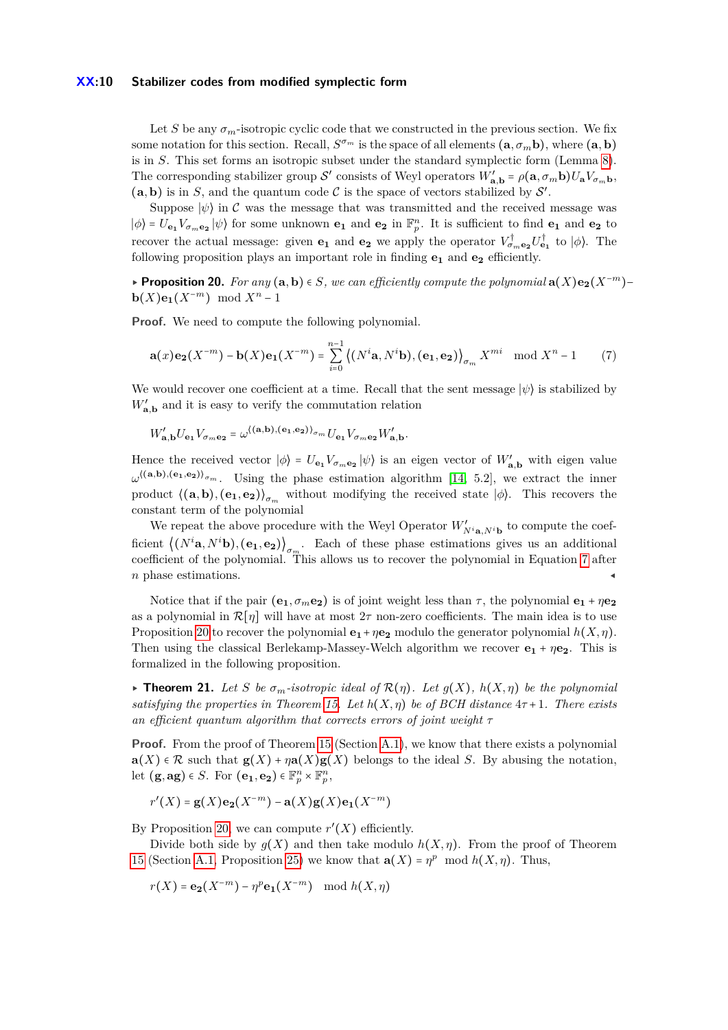#### **XX:10 Stabilizer codes from modified symplectic form**

Let *S* be any  $\sigma_m$ -isotropic cyclic code that we constructed in the previous section. We fix some notation for this section. Recall,  $S^{\sigma_m}$  is the space of all elements  $(\mathbf{a}, \sigma_m \mathbf{b})$ , where  $(\mathbf{a}, \mathbf{b})$ is in *S*. This set forms an isotropic subset under the standard symplectic form (Lemma [8\)](#page-4-0). The corresponding stabilizer group S' consists of Weyl operators  $W'_{a,b} = \rho(a, \sigma_m b)U_aV_{\sigma_m b}$ ,  $(a, b)$  is in *S*, and the quantum code *C* is the space of vectors stabilized by *S'*.

Suppose  $|\psi\rangle$  in C was the message that was transmitted and the received message was  $|\phi\rangle = U_{\mathbf{e}_1}V_{\sigma_m\mathbf{e}_2}|\psi\rangle$  for some unknown  $\mathbf{e}_1$  and  $\mathbf{e}_2$  in  $\mathbb{F}_p^n$ . It is sufficient to find  $\mathbf{e}_1$  and  $\mathbf{e}_2$  to recover the actual message: given **e**<sub>1</sub> and **e**<sub>2</sub> we apply the operator  $V^{\dagger}_{\sigma_{m}e_{2}}U^{\dagger}_{e_{1}}$  to  $|\phi\rangle$ . The following proposition plays an important role in finding **e<sup>1</sup>** and **e<sup>2</sup>** efficiently.

<span id="page-9-1"></span>▸ **Proposition 20.** *For any* (**a***,***b**) ∈ *S, we can efficiently compute the polynomial* **a**(*X*)**e2**(*X*−*m*)− **b**( $X$ )**e**<sub>1</sub>( $X^{-m}$ ) mod  $X^n - 1$ 

**Proof.** We need to compute the following polynomial.

<span id="page-9-0"></span>
$$
\mathbf{a}(x)\mathbf{e_2}(X^{-m}) - \mathbf{b}(X)\mathbf{e_1}(X^{-m}) = \sum_{i=0}^{n-1} \left( (N^i \mathbf{a}, N^i \mathbf{b}), (\mathbf{e_1}, \mathbf{e_2}) \right)_{\sigma_m} X^{mi} \mod X^n - 1 \tag{7}
$$

We would recover one coefficient at a time. Recall that the sent message  $|\psi\rangle$  is stabilized by  $W'_{\mathbf{a},\mathbf{b}}$  and it is easy to verify the commutation relation

$$
W'_{\mathbf{a},\mathbf{b}}U_{\mathbf{e}_1}V_{\sigma_m\mathbf{e}_2} = \omega^{\langle(\mathbf{a},\mathbf{b}),(\mathbf{e}_1,\mathbf{e}_2)\rangle_{\sigma_m}}U_{\mathbf{e}_1}V_{\sigma_m\mathbf{e}_2}W'_{\mathbf{a},\mathbf{b}}.
$$

Hence the received vector  $|\phi\rangle = U_{\mathbf{e}_1} V_{\sigma_m \mathbf{e}_2} |\psi\rangle$  is an eigen vector of  $W'_{\mathbf{a},\mathbf{b}}$  with eigen value  $\omega^{((a,b),(e_1,e_2))_{\sigma_m}}$ . Using the phase estimation algorithm [\[14,](#page-11-16) 5.2], we extract the inner product  $\langle (\mathbf{a}, \mathbf{b}), (\mathbf{e}_1, \mathbf{e}_2) \rangle_{\sigma_m}$  without modifying the received state  $|\phi\rangle$ . This recovers the constant term of the polynomial

We repeat the above procedure with the Weyl Operator  $W'_{N^i\mathbf{a},N^i\mathbf{b}}$  to compute the coefficient  $((N^i\mathbf{a}, N^i\mathbf{b}), (\mathbf{e}_1, \mathbf{e}_2))_{\sigma_m}$ . Each of these phase estimations gives us an additional coefficient of the polynomial. This allows us to recover the polynomial in Equation [7](#page-9-0) after *n* phase estimations.

Notice that if the pair  $(e_1, \sigma_m e_2)$  is of joint weight less than  $\tau$ , the polynomial  $e_1 + \eta e_2$ as a polynomial in  $\mathcal{R}[\eta]$  will have at most  $2\tau$  non-zero coefficients. The main idea is to use Proposition [20](#page-9-1) to recover the polynomial  $\mathbf{e}_1 + \eta \mathbf{e}_2$  modulo the generator polynomial  $h(X, \eta)$ . Then using the classical Berlekamp-Massey-Welch algorithm we recover **e<sup>1</sup>** + *η***e2**. This is formalized in the following proposition.

 $\triangleright$  **Theorem 21.** Let S be  $\sigma_m$ -isotropic ideal of  $\mathcal{R}(\eta)$ . Let  $g(X)$ ,  $h(X,\eta)$  be the polynomial *satisfying the properties in Theorem [15.](#page-7-0) Let*  $h(X, \eta)$  be of BCH distance  $4\tau + 1$ . There exists *an efficient quantum algorithm that corrects errors of joint weight τ*

**Proof.** From the proof of Theorem [15](#page-7-0) (Section [A.1\)](#page-13-0), we know that there exists a polynomial  $\mathbf{a}(X) \in \mathcal{R}$  such that  $\mathbf{g}(X) + \eta \mathbf{a}(X) \mathbf{g}(X)$  belongs to the ideal *S*. By abusing the notation, let  $(\mathbf{g}, \mathbf{ag}) \in S$ . For  $(\mathbf{e_1}, \mathbf{e_2}) \in \mathbb{F}_p^n \times \mathbb{F}_p^n$ ,

 $r'(X) = g(X)e_2(X^{-m}) - a(X)g(X)e_1(X^{-m})$ 

By Proposition [20,](#page-9-1) we can compute  $r'(X)$  efficiently.

Divide both side by  $g(X)$  and then take modulo  $h(X, \eta)$ . From the proof of Theorem [15](#page-7-0) (Section [A.1,](#page-13-0) Proposition [25\)](#page-13-1) we know that  $\mathbf{a}(X) = \eta^p \mod h(X, \eta)$ . Thus,

 $r(X) = e_2(X^{-m}) - \eta^p e_1(X^{-m}) \mod h(X, \eta)$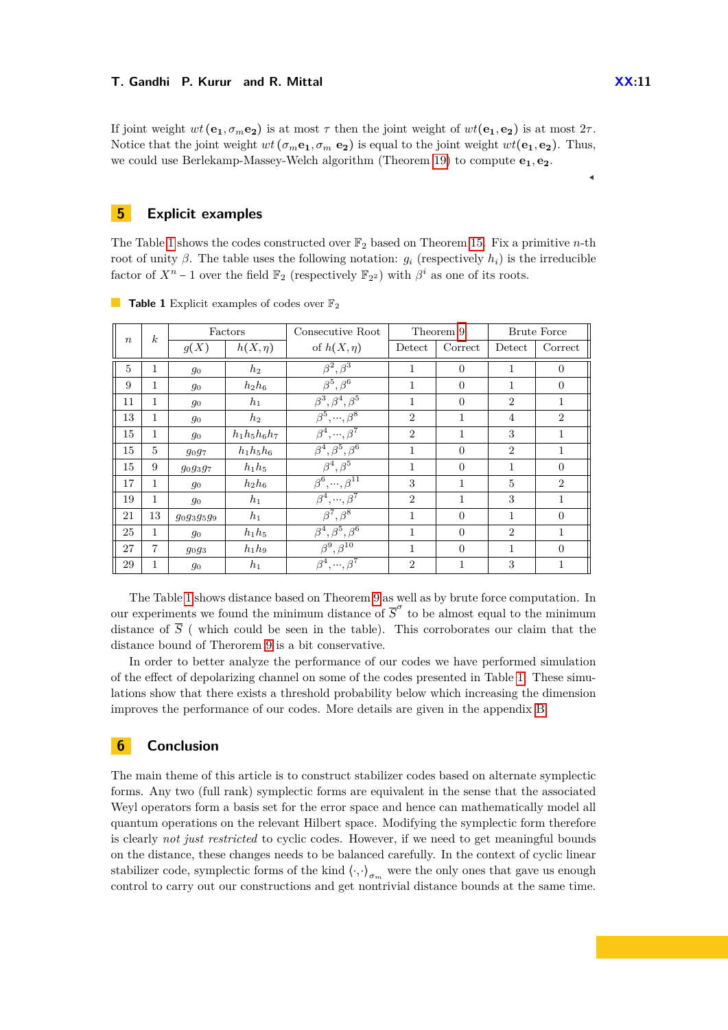If joint weight  $wt(\mathbf{e}_1, \sigma_m \mathbf{e}_2)$  is at most  $\tau$  then the joint weight of  $wt(\mathbf{e}_1, \mathbf{e}_2)$  is at most  $2\tau$ . Notice that the joint weight  $wt(\sigma_m \mathbf{e}_1, \sigma_m \mathbf{e}_2)$  is equal to the joint weight  $wt(\mathbf{e}_1, \mathbf{e}_2)$ . Thus, we could use Berlekamp-Massey-Welch algorithm (Theorem [19\)](#page-8-0) to compute **e1***,* **e2**.

### <span id="page-10-0"></span>**5 Explicit examples**

The Table [1](#page-10-1) shows the codes constructed over  $\mathbb{F}_2$  based on Theorem [15.](#page-7-0) Fix a primitive *n*-th root of unity *β*. The table uses the following notation:  $g_i$  (respectively  $h_i$ ) is the irreducible factor of  $X^n - 1$  over the field  $\mathbb{F}_2$  (respectively  $\mathbb{F}_{2^2}$ ) with  $\beta^i$  as one of its roots.

| $\boldsymbol{n}$ | $\boldsymbol{k}$ | Factors      |                   | Consecutive Root                     | Theorem 9      |                | <b>Brute Force</b> |                |
|------------------|------------------|--------------|-------------------|--------------------------------------|----------------|----------------|--------------------|----------------|
|                  |                  | g(X)         | $h(X,\eta)$       | of $h(X,\eta)$                       | Detect         | Correct        | Detect             | Correct        |
| $\overline{5}$   | 1                | $g_0$        | $h_2$             | $\overline{\beta^2,\beta^3}$         | 1              | $\overline{0}$ | 1                  | $\overline{0}$ |
| 9                | 1                | $g_0$        | $h_2h_6$          | $\overline{\beta^5,\beta^6}$         | 1              | $\Omega$       | 1                  | $\Omega$       |
| 11               | 1                | 90           | $h_1$             | $\beta^3, \beta^4, \beta^5$          | 1              | $\Omega$       | $\overline{2}$     | 1              |
| 13               | 1                | $g_0$        | $h_2$             | $\beta^5, \dots, \beta^8$            | $\overline{2}$ | 1              | $\overline{4}$     | $\overline{2}$ |
| 15               | 1                | $g_0$        | $h_1 h_5 h_6 h_7$ | $\beta^4, \dots, \beta^7$            | $\overline{2}$ | 1              | 3                  | 1              |
| 15               | $\overline{5}$   | $g_{0}g_{7}$ | $h_1h_5h_6$       | $\beta^4, \beta^5, \beta^6$          | 1              | $\Omega$       | $\overline{2}$     | 1              |
| 15               | 9                | 909397       | $h_1h_5$          | $\overline{\beta^4,\beta^5}$         | 1              | $\Omega$       | $\mathbf{1}$       | $\Omega$       |
| 17               | 1                | 90           | $h_2h_6$          | $\beta^6, \ldots, \beta^{11}$        | 3              | 1              | $\overline{5}$     | $\overline{2}$ |
| 19               | 1                | $g_0$        | $h_1$             | $\beta^4, \cdots, \beta^7$           | $\overline{2}$ | $\mathbf{1}$   | 3                  | 1              |
| 21               | 13               | 90939599     | $h_1$             | $\beta^7, \beta^8$                   | 1              | $\theta$       | $\mathbf{1}$       | $\overline{0}$ |
| 25               | 1                | 90           | $h_1h_5$          | $\overline{\beta^4,\beta^5,\beta^6}$ | 1              | $\Omega$       | $\overline{2}$     | 1              |
| 27               | $\overline{7}$   | $g_0g_3$     | $h_1h_9$          | $\overline{\beta^9,\beta^{10}}$      | 1              | $\Omega$       | $\mathbf{1}$       | $\Omega$       |
| 29               | 1                | 90           | $h_1$             | $\beta^4, \dots, \beta^7$            | $\overline{2}$ | 1              | 3                  | 1              |

<span id="page-10-1"></span>**Table 1** Explicit examples of codes over  $\mathbb{F}_2$ 

The Table [1](#page-10-1) shows distance based on Theorem [9](#page-4-1) as well as by brute force computation. In our experiments we found the minimum distance of  $\overline{S}^{\sigma}$  to be almost equal to the minimum distance of  $\overline{S}$  (which could be seen in the table). This corroborates our claim that the distance bound of Therorem [9](#page-4-1) is a bit conservative.

In order to better analyze the performance of our codes we have performed simulation of the effect of depolarizing channel on some of the codes presented in Table [1.](#page-10-1) These simulations show that there exists a threshold probability below which increasing the dimension improves the performance of our codes. More details are given in the appendix [B.](#page-15-0)

### **6 Conclusion**

The main theme of this article is to construct stabilizer codes based on alternate symplectic forms. Any two (full rank) symplectic forms are equivalent in the sense that the associated Weyl operators form a basis set for the error space and hence can mathematically model all quantum operations on the relevant Hilbert space. Modifying the symplectic form therefore is clearly *not just restricted* to cyclic codes. However, if we need to get meaningful bounds on the distance, these changes needs to be balanced carefully. In the context of cyclic linear stabilizer code, symplectic forms of the kind  $\langle \cdot, \cdot \rangle_{\sigma_m}$  were the only ones that gave us enough control to carry out our constructions and get nontrivial distance bounds at the same time.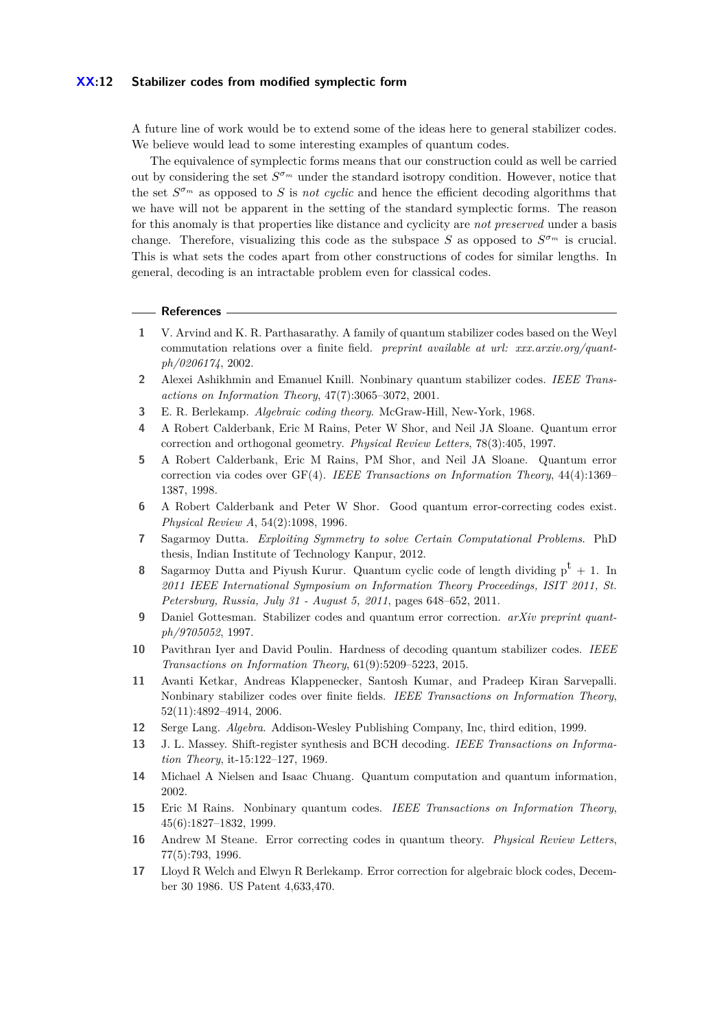#### **XX:12 Stabilizer codes from modified symplectic form**

A future line of work would be to extend some of the ideas here to general stabilizer codes. We believe would lead to some interesting examples of quantum codes.

The equivalence of symplectic forms means that our construction could as well be carried out by considering the set *S <sup>σ</sup><sup>m</sup>* under the standard isotropy condition. However, notice that the set  $S^{\sigma_m}$  as opposed to *S* is *not cyclic* and hence the efficient decoding algorithms that we have will not be apparent in the setting of the standard symplectic forms. The reason for this anomaly is that properties like distance and cyclicity are *not preserved* under a basis change. Therefore, visualizing this code as the subspace *S* as opposed to  $S^{\sigma_m}$  is crucial. This is what sets the codes apart from other constructions of codes for similar lengths. In general, decoding is an intractable problem even for classical codes.

#### **References**

- <span id="page-11-14"></span>**1** V. Arvind and K. R. Parthasarathy. A family of quantum stabilizer codes based on the Weyl commutation relations over a finite field. *preprint available at url: xxx.arxiv.org/quantph/0206174*, 2002.
- <span id="page-11-3"></span>**2** Alexei Ashikhmin and Emanuel Knill. Nonbinary quantum stabilizer codes. *IEEE Transactions on Information Theory*, 47(7):3065–3072, 2001.
- <span id="page-11-9"></span>**3** E. R. Berlekamp. *Algebraic coding theory*. McGraw-Hill, New-York, 1968.
- <span id="page-11-4"></span>**4** A Robert Calderbank, Eric M Rains, Peter W Shor, and Neil JA Sloane. Quantum error correction and orthogonal geometry. *Physical Review Letters*, 78(3):405, 1997.
- <span id="page-11-5"></span>**5** A Robert Calderbank, Eric M Rains, PM Shor, and Neil JA Sloane. Quantum error correction via codes over GF(4). *IEEE Transactions on Information Theory*, 44(4):1369– 1387, 1998.
- <span id="page-11-1"></span>**6** A Robert Calderbank and Peter W Shor. Good quantum error-correcting codes exist. *Physical Review A*, 54(2):1098, 1996.
- <span id="page-11-8"></span>**7** Sagarmoy Dutta. *Exploiting Symmetry to solve Certain Computational Problems*. PhD thesis, Indian Institute of Technology Kanpur, 2012.
- <span id="page-11-7"></span>**8** Sagarmoy Dutta and Piyush Kurur. Quantum cyclic code of length dividing  $p^t + 1$ . In *2011 IEEE International Symposium on Information Theory Proceedings, ISIT 2011, St. Petersburg, Russia, July 31 - August 5, 2011*, pages 648–652, 2011.
- <span id="page-11-13"></span>**9** Daniel Gottesman. Stabilizer codes and quantum error correction. *arXiv preprint quantph/9705052*, 1997.
- <span id="page-11-12"></span>**10** Pavithran Iyer and David Poulin. Hardness of decoding quantum stabilizer codes. *IEEE Transactions on Information Theory*, 61(9):5209–5223, 2015.
- <span id="page-11-6"></span>**11** Avanti Ketkar, Andreas Klappenecker, Santosh Kumar, and Pradeep Kiran Sarvepalli. Nonbinary stabilizer codes over finite fields. *IEEE Transactions on Information Theory*, 52(11):4892–4914, 2006.
- <span id="page-11-15"></span>**12** Serge Lang. *Algebra*. Addison-Wesley Publishing Company, Inc, third edition, 1999.
- <span id="page-11-10"></span>**13** J. L. Massey. Shift-register synthesis and BCH decoding. *IEEE Transactions on Information Theory*, it-15:122–127, 1969.
- <span id="page-11-16"></span>**14** Michael A Nielsen and Isaac Chuang. Quantum computation and quantum information, 2002.
- <span id="page-11-2"></span>**15** Eric M Rains. Nonbinary quantum codes. *IEEE Transactions on Information Theory*, 45(6):1827–1832, 1999.
- <span id="page-11-0"></span>**16** Andrew M Steane. Error correcting codes in quantum theory. *Physical Review Letters*, 77(5):793, 1996.
- <span id="page-11-11"></span>**17** Lloyd R Welch and Elwyn R Berlekamp. Error correction for algebraic block codes, December 30 1986. US Patent 4,633,470.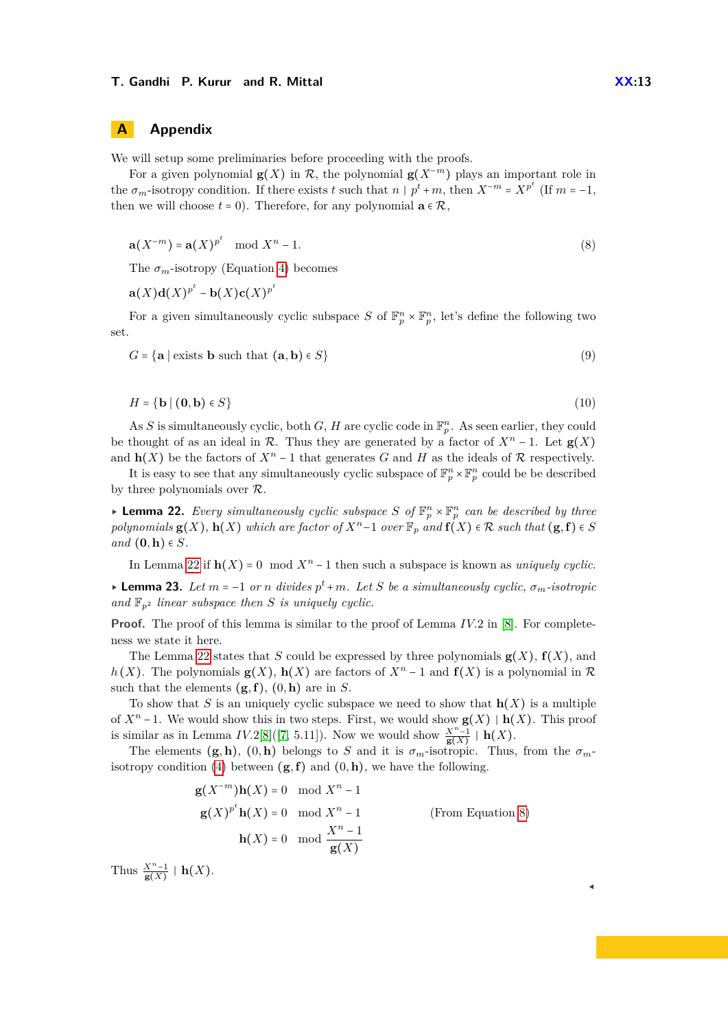We will setup some preliminaries before proceeding with the proofs.

For a given polynomial  $\mathbf{g}(X)$  in  $\mathcal{R}$ , the polynomial  $\mathbf{g}(X^{-m})$  plays an important role in the  $\sigma_m$ -isotropy condition. If there exists *t* such that  $n | p^t + m$ , then  $X^{-m} = X^{p^t}$  (If  $m = -1$ , then we will choose  $t = 0$ ). Therefore, for any polynomial  $\mathbf{a} \in \mathcal{R}$ ,

<span id="page-12-1"></span>
$$
\mathbf{a}(X^{-m}) = \mathbf{a}(X)^{p^t} \mod X^n - 1. \tag{8}
$$

The  $\sigma_m$ -isotropy (Equation [4\)](#page-6-0) becomes

 $\mathbf{a}(X)\mathbf{d}(X)^{p^t} - \mathbf{b}(X)\mathbf{c}(X)^{p^t}$ 

For a given simultaneously cyclic subspace *S* of  $\mathbb{F}_p^n \times \mathbb{F}_p^n$ , let's define the following two set.

$$
G = \{ \mathbf{a} \mid \text{exists } \mathbf{b} \text{ such that } (\mathbf{a}, \mathbf{b}) \in S \} \tag{9}
$$

$$
H = \{ \mathbf{b} \mid (\mathbf{0}, \mathbf{b}) \in S \} \tag{10}
$$

As *S* is simultaneously cyclic, both *G*, *H* are cyclic code in  $\mathbb{F}_p^n$ . As seen earlier, they could be thought of as an ideal in  $\mathcal{R}$ . Thus they are generated by a factor of  $X^n - 1$ . Let  $\mathbf{g}(X)$ and **h**(*X*) be the factors of  $X^n - 1$  that generates *G* and *H* as the ideals of R respectively.

It is easy to see that any simultaneously cyclic subspace of  $\mathbb{F}_p^n \times \mathbb{F}_p^n$  could be be described by three polynomials over R.

<span id="page-12-0"></span>**• Lemma 22.** Every simultaneously cyclic subspace S of  $\mathbb{F}_p^n \times \mathbb{F}_p^n$  can be described by three *polynomials*  $g(X)$ *,*  $h(X)$  *which are factor of*  $X^n - 1$  *over*  $\mathbb{F}_p$  *and*  $f(X) \in \mathcal{R}$  *such that*  $(g, f) \in S$ *and* (**0***,***h**) ∈ *S.*

In Lemma [22](#page-12-0) if  $h(X) = 0 \mod X^n - 1$  then such a subspace is known as *uniquely cyclic*.

<span id="page-12-2"></span> $\blacktriangleright$  **Lemma 23.** Let *m* = −1 *or n* divides  $p^t + m$ . Let *S* be a simultaneously cyclic,  $\sigma_m$ -isotropic and  $\mathbb{F}_{p^2}$  *linear subspace then S is uniquely cyclic.* 

**Proof.** The proof of this lemma is similar to the proof of Lemma *IV.*2 in [\[8\]](#page-11-7). For completeness we state it here.

The Lemma [22](#page-12-0) states that *S* could be expressed by three polynomials  $\mathbf{g}(X)$ ,  $\mathbf{f}(X)$ , and  $h(X)$ . The polynomials **g**(*X*), **h**(*X*) are factors of  $X^n - 1$  and  $f(X)$  is a polynomial in  $\mathcal{R}$ such that the elements  $(g, f)$ ,  $(0, h)$  are in *S*.

To show that *S* is an uniquely cyclic subspace we need to show that **h**(*X*) is a multiple of *X<sup>n</sup>* −1. We would show this in two steps. First, we would show **g**(*X*) ∣ **h**(*X*). This proof is similar as in Lemma *IV.*2[\[8\]](#page-11-7)([\[7,](#page-11-8) 5.11]). Now we would show  $\frac{X^{n}-1}{g(X)}$  | **h**(*X*).

The elements  $(g, h)$ ,  $(0, h)$  belongs to *S* and it is  $\sigma_m$ -isotropic. Thus, from the  $\sigma_m$ -isotropy condition [\(4\)](#page-6-0) between  $(g, f)$  and  $(0, h)$ , we have the following.

$$
\mathbf{g}(X^{-m})\mathbf{h}(X) = 0 \mod X^{n} - 1
$$
  
\n
$$
\mathbf{g}(X)^{p^{t}}\mathbf{h}(X) = 0 \mod X^{n} - 1
$$
  
\n
$$
\mathbf{h}(X) = 0 \mod \frac{X^{n} - 1}{\mathbf{g}(X)}
$$
 (From Equation 8)

Thus  $\frac{X^n-1}{\mathbf{g}(X)}$  | **h**(*X*).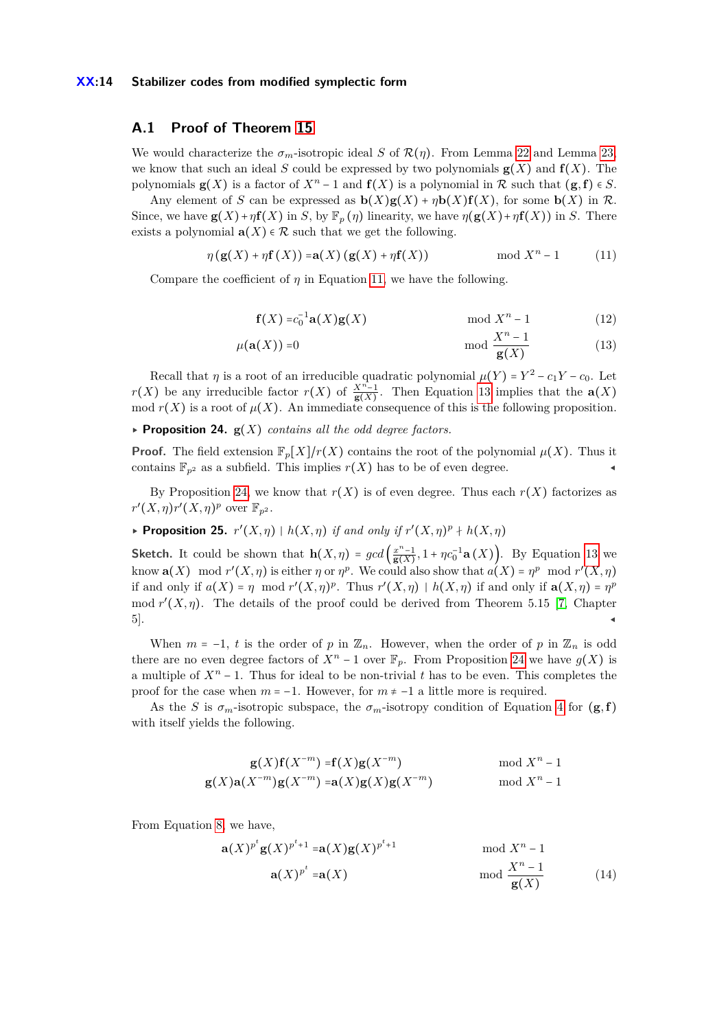#### **XX:14 Stabilizer codes from modified symplectic form**

### <span id="page-13-0"></span>**A.1 Proof of Theorem [15](#page-7-0)**

We would characterize the  $\sigma_m$ -isotropic ideal *S* of  $\mathcal{R}(\eta)$ . From Lemma [22](#page-12-0) and Lemma [23,](#page-12-2) we know that such an ideal *S* could be expressed by two polynomials  $g(X)$  and  $f(X)$ . The polynomials **g**(*X*) is a factor of  $X^n - 1$  and  $f(X)$  is a polynomial in  $\mathcal R$  such that  $(g, f) \in S$ .

Any element of *S* can be expressed as  $\mathbf{b}(X)\mathbf{g}(X) + \eta \mathbf{b}(X)\mathbf{f}(X)$ , for some  $\mathbf{b}(X)$  in  $\mathcal{R}$ . Since, we have  $\mathbf{g}(X) + \eta \mathbf{f}(X)$  in *S*, by  $\mathbb{F}_p(\eta)$  linearity, we have  $\eta(\mathbf{g}(X) + \eta \mathbf{f}(X))$  in *S*. There exists a polynomial  $\mathbf{a}(X) \in \mathcal{R}$  such that we get the following.

$$
\eta\left(\mathbf{g}(X) + \eta \mathbf{f}(X)\right) = \mathbf{a}(X)\left(\mathbf{g}(X) + \eta \mathbf{f}(X)\right) \quad \text{mod } X^n - 1 \tag{11}
$$

Compare the coefficient of  $\eta$  in Equation [11,](#page-13-2) we have the following.

<span id="page-13-3"></span><span id="page-13-2"></span>
$$
\mathbf{f}(X) = c_0^{-1} \mathbf{a}(X) \mathbf{g}(X) \quad \text{mod } X^n - 1 \tag{12}
$$

$$
\mu(\mathbf{a}(X)) = 0 \quad \text{mod } \frac{X^n - 1}{\mathbf{g}(X)} \tag{13}
$$

Recall that *η* is a root of an irreducible quadratic polynomial  $\mu(Y) = Y^2 - c_1Y - c_0$ . Let *r*(*X*) be any irreducible factor *r*(*X*) of  $\frac{X^{n}-1}{g(X)}$ . Then Equation [13](#page-13-3) implies that the **a**(*X*) mod  $r(X)$  is a root of  $\mu(X)$ . An immediate consequence of this is the following proposition.

<span id="page-13-4"></span> $\triangleright$  **Proposition 24.**  $g(X)$  *contains all the odd degree factors.* 

**Proof.** The field extension  $\mathbb{F}_p[X]/r(X)$  contains the root of the polynomial  $\mu(X)$ . Thus it contains  $\mathbb{F}_{p^2}$  as a subfield. This implies  $r(X)$  has to be of even degree.

By Proposition [24,](#page-13-4) we know that  $r(X)$  is of even degree. Thus each  $r(X)$  factorizes as  $r'(X, \eta)r'(X, \eta)^p$  over  $\mathbb{F}_{p^2}$ .

<span id="page-13-1"></span>**► Proposition 25.**  $r'(X, \eta)$  |  $h(X, \eta)$  if and only if  $r'(X, \eta)^p + h(X, \eta)$ 

**Sketch.** It could be shown that  $h(X, \eta) = \gcd\left(\frac{x^n-1}{g(X)}\right)$  $\frac{x^{n}-1}{g(X)}$ , 1 + *ηc*<sub>0</sub><sup>-1</sup>**a** (*X*)). By Equation [13](#page-13-3) we know  $\mathbf{a}(X) \mod r'(X, \eta)$  is either  $\eta$  or  $\eta^p$ . We could also show that  $a(X) = \eta^p \mod r'(X, \eta)$ if and only if  $a(X) = \eta \mod r^r(X, \eta)^p$ . Thus  $r'(X, \eta) \mid h(X, \eta)$  if and only if  $a(X, \eta) = \eta^p$ mod  $r'(X, \eta)$ . The details of the proof could be derived from Theorem 5.15 [\[7,](#page-11-8) Chapter  $5$ ].

When  $m = -1$ , *t* is the order of *p* in  $\mathbb{Z}_n$ . However, when the order of *p* in  $\mathbb{Z}_n$  is odd there are no even degree factors of  $X^n - 1$  over  $\mathbb{F}_p$ . From Proposition [24](#page-13-4) we have  $g(X)$  is a multiple of *X<sup>n</sup>* − 1. Thus for ideal to be non-trivial *t* has to be even. This completes the proof for the case when  $m = -1$ . However, for  $m \neq -1$  a little more is required.

As the *S* is  $\sigma_m$ -isotropic subspace, the  $\sigma_m$ -isotropy condition of Equation [4](#page-6-0) for  $(g, f)$ with itself yields the following.

$$
\mathbf{g}(X)\mathbf{f}(X^{-m}) = \mathbf{f}(X)\mathbf{g}(X^{-m}) \quad \text{mod } X^{n} - 1
$$
  

$$
\mathbf{g}(X)\mathbf{a}(X^{-m})\mathbf{g}(X^{-m}) = \mathbf{a}(X)\mathbf{g}(X)\mathbf{g}(X^{-m}) \quad \text{mod } X^{n} - 1
$$

From Equation [8,](#page-12-1) we have,

<span id="page-13-5"></span>
$$
\mathbf{a}(X)^{p^t}\mathbf{g}(X)^{p^t+1} = \mathbf{a}(X)\mathbf{g}(X)^{p^t+1} \quad \text{mod } X^n - 1
$$
  

$$
\mathbf{a}(X)^{p^t} = \mathbf{a}(X) \quad \text{mod } \frac{X^n - 1}{\mathbf{g}(X)}
$$
(14)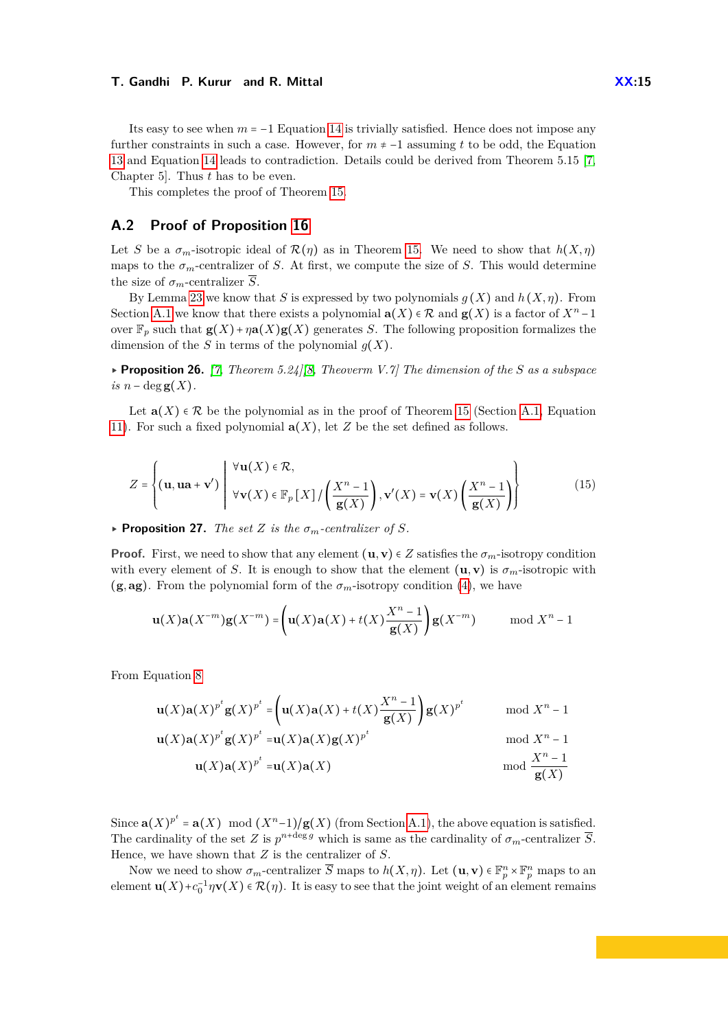Its easy to see when  $m = -1$  Equation [14](#page-13-5) is trivially satisfied. Hence does not impose any further constraints in such a case. However, for *m* ≠ −1 assuming *t* to be odd, the Equation [13](#page-13-3) and Equation [14](#page-13-5) leads to contradiction. Details could be derived from Theorem 5.15 [\[7,](#page-11-8) Chapter 5]. Thus *t* has to be even.

This completes the proof of Theorem [15.](#page-7-0)

### <span id="page-14-0"></span>**A.2 Proof of Proposition [16](#page-8-1)**

Let *S* be a  $\sigma_m$ -isotropic ideal of  $\mathcal{R}(\eta)$  as in Theorem [15.](#page-7-0) We need to show that  $h(X,\eta)$ maps to the  $\sigma_m$ -centralizer of *S*. At first, we compute the size of *S*. This would determine the size of  $\sigma_m$ -centralizer  $\overline{S}$ .

By Lemma [23](#page-12-2) we know that *S* is expressed by two polynomials *g* (*X*) and *h* (*X, η*). From Section [A.1](#page-13-0) we know that there exists a polynomial  $\mathbf{a}(X) \in \mathcal{R}$  and  $\mathbf{g}(X)$  is a factor of  $X^n - 1$ over  $\mathbb{F}_p$  such that  $\mathbf{g}(X)+\eta\mathbf{a}(X)\mathbf{g}(X)$  generates *S*. The following proposition formalizes the dimension of the *S* in terms of the polynomial  $g(X)$ .

▸ **Proposition 26.** *[\[7,](#page-11-8) Theorem 5.24][\[8,](#page-11-7) Theoverm V.7] The dimension of the S as a subspace*  $is n - deg g(X)$ .

Let  $\mathbf{a}(X) \in \mathcal{R}$  be the polynomial as in the proof of Theorem [15](#page-7-0) (Section [A.1,](#page-13-0) Equation [11\)](#page-13-2). For such a fixed polynomial  $a(X)$ , let *Z* be the set defined as follows.

$$
Z = \left\{ (\mathbf{u}, \mathbf{u}\mathbf{a} + \mathbf{v}') \middle| \begin{array}{l} \forall \mathbf{u}(X) \in \mathcal{R}, \\ \forall \mathbf{v}(X) \in \mathbb{F}_p \left[ X \right] / \left( \frac{X^n - 1}{\mathbf{g}(X)} \right), \mathbf{v}'(X) = \mathbf{v}(X) \left( \frac{X^n - 1}{\mathbf{g}(X)} \right) \right\} \end{array} \right\}
$$
(15)

 $\triangleright$  **Proposition 27.** *The set Z is the*  $\sigma_m$ -centralizer of *S*.

**Proof.** First, we need to show that any element  $(\mathbf{u}, \mathbf{v}) \in Z$  satisfies the  $\sigma_m$ -isotropy condition with every element of *S*. It is enough to show that the element  $(\mathbf{u}, \mathbf{v})$  is  $\sigma_m$ -isotropic with  $(g, ag)$ . From the polynomial form of the  $\sigma_m$ -isotropy condition [\(4\)](#page-6-0), we have

$$
\mathbf{u}(X)\mathbf{a}(X^{-m})\mathbf{g}(X^{-m}) = \left(\mathbf{u}(X)\mathbf{a}(X) + t(X)\frac{X^{n}-1}{\mathbf{g}(X)}\right)\mathbf{g}(X^{-m}) \quad \mod X^{n}-1
$$

From Equation [8](#page-12-1)

$$
\mathbf{u}(X)\mathbf{a}(X)^{p^t}\mathbf{g}(X)^{p^t} = \left(\mathbf{u}(X)\mathbf{a}(X) + t(X)\frac{X^{n-1}}{\mathbf{g}(X)}\right)\mathbf{g}(X)^{p^t} \quad \text{mod } X^{n-1}
$$
  

$$
\mathbf{u}(X)\mathbf{a}(X)^{p^t}\mathbf{g}(X)^{p^t} = \mathbf{u}(X)\mathbf{a}(X)\mathbf{g}(X)^{p^t} \quad \text{mod } X^{n-1}
$$
  

$$
\mathbf{u}(X)\mathbf{a}(X)^{p^t} = \mathbf{u}(X)\mathbf{a}(X) \quad \text{mod } \frac{X^{n-1}}{\mathbf{g}(X)}
$$

Since  $\mathbf{a}(X)^{p^t} = \mathbf{a}(X) \mod (X^{n-1})/\mathbf{g}(X)$  (from Section [A.1\)](#page-13-0), the above equation is satisfied. The cardinality of the set *Z* is  $p^{n+\deg g}$  which is same as the cardinality of  $\sigma_m$ -centralizer  $\overline{S}$ . Hence, we have shown that *Z* is the centralizer of *S*.

Now we need to show  $\sigma_m$ -centralizer  $\overline{S}$  maps to  $h(X, \eta)$ . Let  $(\mathbf{u}, \mathbf{v}) \in \mathbb{F}_p^n \times \mathbb{F}_p^n$  maps to an element  $\mathbf{u}(X)+c_0^{-1}\eta\mathbf{v}(X) \in \mathcal{R}(\eta)$ . It is easy to see that the joint weight of an element remains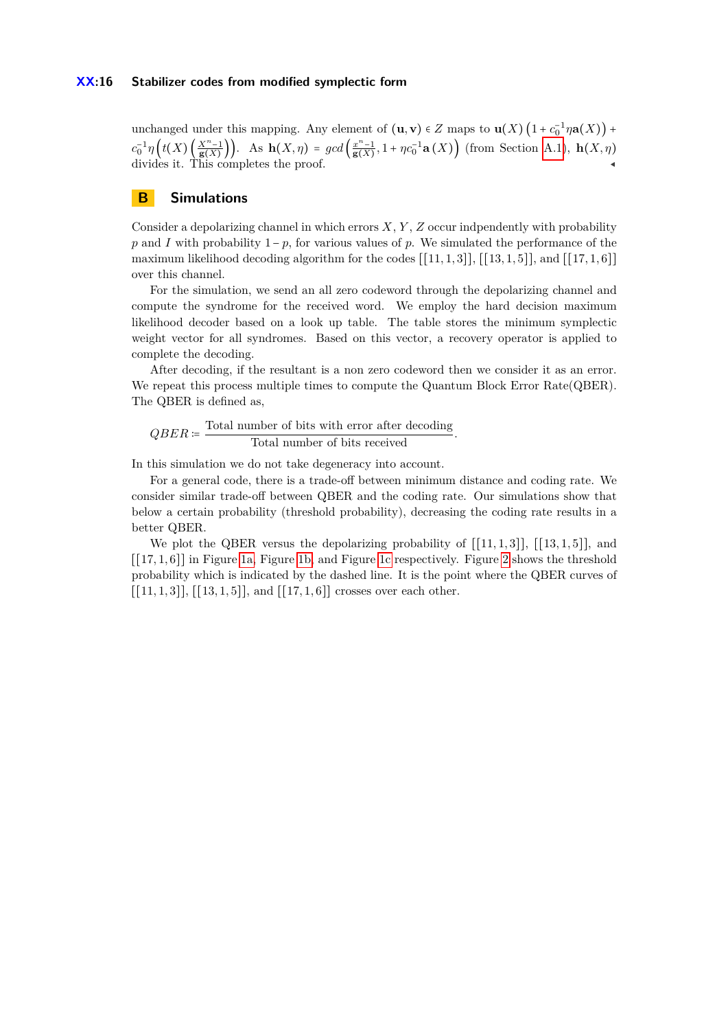unchanged under this mapping. Any element of  $(\mathbf{u}, \mathbf{v}) \in Z$  maps to  $\mathbf{u}(X) \left(1 + c_0^{-1} \eta \mathbf{a}(X)\right) + c_0^{-1} \eta \mathbf{a}(X)$  $c_0^{-1}\eta\left(t(X)\left(\frac{X^{n-1}}{g(X)}\right)\right)$ . As  $h(X,\eta) = gcd\left(\frac{x^{n-1}}{g(X)}\right)$  $\frac{x^{n}-1}{g(X)}$ , 1 + *ηc*<sub>0</sub><sup>-1</sup>**a** (*X*)) (from Section [A.1\)](#page-13-0), **h**(*X, η*) divides it. This completes the proof.  $\blacksquare$ 

# <span id="page-15-0"></span>**B Simulations**

Consider a depolarizing channel in which errors *X*, *Y* , *Z* occur indpendently with probability *p* and *I* with probability  $1-p$ , for various values of *p*. We simulated the performance of the maximum likelihood decoding algorithm for the codes  $[[11, 1, 3]], [[13, 1, 5]],$  and  $[[17, 1, 6]]$ over this channel.

For the simulation, we send an all zero codeword through the depolarizing channel and compute the syndrome for the received word. We employ the hard decision maximum likelihood decoder based on a look up table. The table stores the minimum symplectic weight vector for all syndromes. Based on this vector, a recovery operator is applied to complete the decoding.

After decoding, if the resultant is a non zero codeword then we consider it as an error. We repeat this process multiple times to compute the Quantum Block Error Rate(QBER). The QBER is defined as,

$$
QBER \coloneqq \frac{\text{Total number of bits with error after decoding}}{\text{Total number of bits received}}.
$$

In this simulation we do not take degeneracy into account.

For a general code, there is a trade-off between minimum distance and coding rate. We consider similar trade-off between QBER and the coding rate. Our simulations show that below a certain probability (threshold probability), decreasing the coding rate results in a better QBER.

We plot the QBER versus the depolarizing probability of  $[[11, 1, 3]], [[13, 1, 5]],$  and [[17*,* 1*,* 6]] in Figure [1a,](#page-16-0) Figure [1b,](#page-16-0) and Figure [1c](#page-16-0) respectively. Figure [2](#page-16-1) shows the threshold probability which is indicated by the dashed line. It is the point where the QBER curves of  $[[11, 1, 3]], [[13, 1, 5]],$  and  $[[17, 1, 6]]$  crosses over each other.